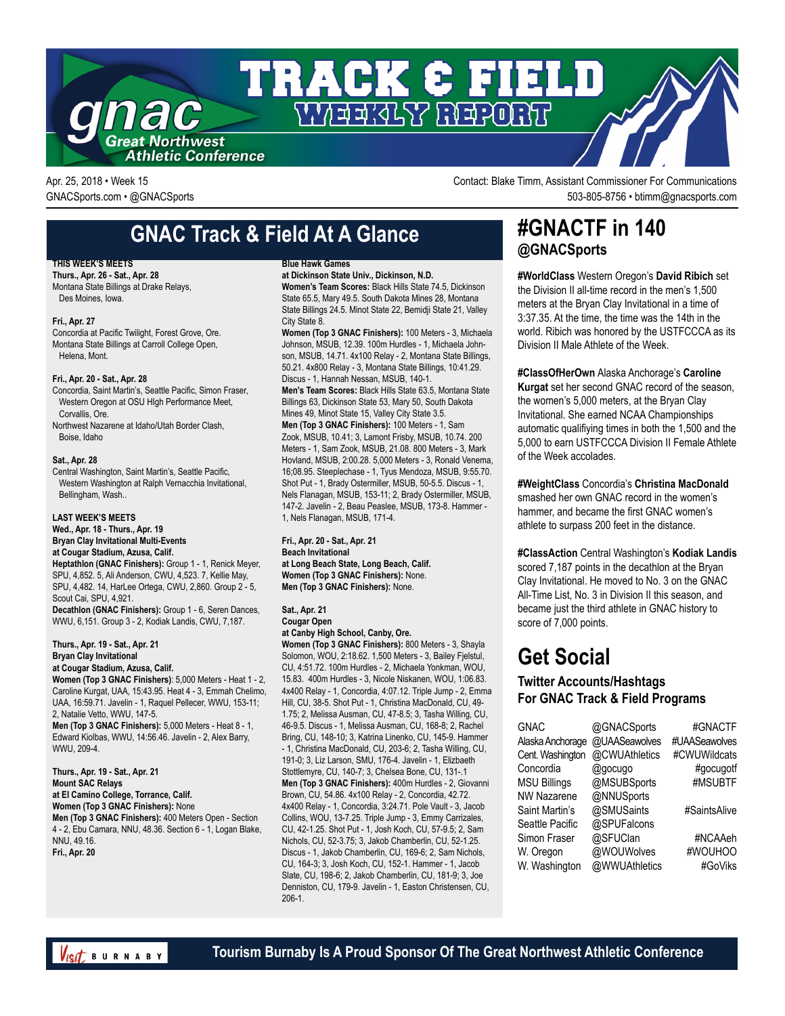

Apr. 25, 2018 • Week 15 Contact: Blake Timm, Assistant Commissioner For Communications GNACSports.com • @GNACSports 503-805-8756 • btimm@gnacsports.com

# **GNAC Track & Field At A Glance**

#### **THIS WEEK'S MEETS**

**Thurs., Apr. 26 - Sat., Apr. 28** Montana State Billings at Drake Relays, Des Moines, Iowa.

#### **Fri., Apr. 27**

Concordia at Pacific Twilight, Forest Grove, Ore. Montana State Billings at Carroll College Open, Helena, Mont.

#### **Fri., Apr. 20 - Sat., Apr. 28**

Concordia, Saint Martin's, Seattle Pacific, Simon Fraser, Western Oregon at OSU HIgh Performance Meet, Corvallis, Ore.

Northwest Nazarene at Idaho/Utah Border Clash, Boise, Idaho

#### **Sat., Apr. 28**

Central Washington, Saint Martin's, Seattle Pacific, Western Washington at Ralph Vernacchia Invitational, Bellingham, Wash..

#### **LAST WEEK'S MEETS**

**Wed., Apr. 18 - Thurs., Apr. 19 Bryan Clay Invitational Multi-Events at Cougar Stadium, Azusa, Calif.**

**Heptathlon (GNAC Finishers):** Group 1 - 1, Renick Meyer, SPU, 4,852. 5, Ali Anderson, CWU, 4,523. 7, Kellie May, SPU, 4,482. 14, HarLee Ortega, CWU, 2,860. Group 2 - 5, Scout Cai, SPU, 4,921. **Decathlon (GNAC Finishers):** Group 1 - 6, Seren Dances,

WWU, 6,151. Group 3 - 2, Kodiak Landis, CWU, 7,187.

#### **Thurs., Apr. 19 - Sat., Apr. 21 Bryan Clay Invitational at Cougar Stadium, Azusa, Calif.**

**Women (Top 3 GNAC Finishers)**: 5,000 Meters - Heat 1 - 2, Caroline Kurgat, UAA, 15:43.95. Heat 4 - 3, Emmah Chelimo, UAA, 16:59.71. Javelin - 1, Raquel Pellecer, WWU, 153-11; 2, Natalie Vetto, WWU, 147-5.

**Men (Top 3 GNAC Finishers):** 5,000 Meters - Heat 8 - 1, Edward Kiolbas, WWU, 14:56.46. Javelin - 2, Alex Barry, WWU, 209-4.

**Thurs., Apr. 19 - Sat., Apr. 21 Mount SAC Relays at El Camino College, Torrance, Calif. Women (Top 3 GNAC Finishers):** None **Men (Top 3 GNAC Finishers):** 400 Meters Open - Section 4 - 2, Ebu Camara, NNU, 48.36. Section 6 - 1, Logan Blake, NNU, 49.16. **Fri., Apr. 20**

#### **Blue Hawk Games**

**at Dickinson State Univ., Dickinson, N.D. Women's Team Scores:** Black Hills State 74.5, Dickinson

State 65.5, Mary 49.5. South Dakota Mines 28, Montana State Billings 24.5. Minot State 22, Bemidji State 21, Valley City State 8. **Women (Top 3 GNAC Finishers):** 100 Meters - 3, Michaela

Johnson, MSUB, 12.39. 100m Hurdles - 1, Michaela Johnson, MSUB, 14.71. 4x100 Relay - 2, Montana State Billings, 50.21. 4x800 Relay - 3, Montana State Billings, 10:41.29. Discus - 1, Hannah Nessan, MSUB, 140-1.

**Men's Team Scores:** Black Hills State 63.5, Montana State Billings 63, Dickinson State 53, Mary 50, South Dakota Mines 49, Minot State 15, Valley City State 3.5. **Men (Top 3 GNAC Finishers):** 100 Meters - 1, Sam Zook, MSUB, 10.41; 3, Lamont Frisby, MSUB, 10.74. 200

Meters - 1, Sam Zook, MSUB, 21.08. 800 Meters - 3, Mark Hovland, MSUB, 2:00.28. 5,000 Meters - 3, Ronald Venema, 16;08.95. Steeplechase - 1, Tyus Mendoza, MSUB, 9:55.70. Shot Put - 1, Brady Ostermiller, MSUB, 50-5.5. Discus - 1, Nels Flanagan, MSUB, 153-11; 2, Brady Ostermiller, MSUB, 147-2. Javelin - 2, Beau Peaslee, MSUB, 173-8. Hammer - 1, Nels Flanagan, MSUB, 171-4.

**Fri., Apr. 20 - Sat., Apr. 21 Beach Invitational at Long Beach State, Long Beach, Calif. Women (Top 3 GNAC Finishers):** None. **Men (Top 3 GNAC Finishers):** None.

#### **Sat., Apr. 21 Cougar Open**

**at Canby High School, Canby, Ore.**

**Women (Top 3 GNAC Finishers):** 800 Meters - 3, Shayla Solomon, WOU, 2:18.62. 1,500 Meters - 3, Bailey Fjelstul, CU, 4:51.72. 100m Hurdles - 2, Michaela Yonkman, WOU, 15.83. 400m Hurdles - 3, Nicole Niskanen, WOU, 1:06.83. 4x400 Relay - 1, Concordia, 4:07.12. Triple Jump - 2, Emma Hill, CU, 38-5. Shot Put - 1, Christina MacDonald, CU, 49- 1.75; 2, Melissa Ausman, CU, 47-8.5; 3, Tasha Willing, CU, 46-9.5. Discus - 1, Melissa Ausman, CU, 168-8; 2, Rachel Bring, CU, 148-10; 3, Katrina Linenko, CU, 145-9. Hammer - 1, Christina MacDonald, CU, 203-6; 2, Tasha Willing, CU, 191-0; 3, Liz Larson, SMU, 176-4. Javelin - 1, Elizbaeth Stottlemyre, CU, 140-7; 3, Chelsea Bone, CU, 131-.1 **Men (Top 3 GNAC Finishers):** 400m Hurdles - 2, Giovanni Brown, CU, 54.86. 4x100 Relay - 2, Concordia, 42.72. 4x400 Relay - 1, Concordia, 3:24.71. Pole Vault - 3, Jacob Collins, WOU, 13-7.25. Triple Jump - 3, Emmy Carrizales, CU, 42-1.25. Shot Put - 1, Josh Koch, CU, 57-9.5; 2, Sam Nichols, CU, 52-3.75; 3, Jakob Chamberlin, CU, 52-1.25. Discus - 1, Jakob Chamberlin, CU, 169-6; 2, Sam Nichols, CU, 164-3; 3, Josh Koch, CU, 152-1. Hammer - 1, Jacob Slate, CU, 198-6; 2, Jakob Chamberlin, CU, 181-9; 3, Joe Denniston, CU, 179-9. Javelin - 1, Easton Christensen, CU, 206-1.

# **#GNACTF in 140 @GNACSports**

**#WorldClass** Western Oregon's **David Ribich** set the Division II all-time record in the men's 1,500 meters at the Bryan Clay Invitational in a time of 3:37.35. At the time, the time was the 14th in the world. Ribich was honored by the USTFCCCA as its Division II Male Athlete of the Week.

**#ClassOfHerOwn** Alaska Anchorage's **Caroline Kurgat** set her second GNAC record of the season, the women's 5,000 meters, at the Bryan Clay Invitational. She earned NCAA Championships automatic qualifiying times in both the 1,500 and the 5,000 to earn USTFCCCA Division II Female Athlete of the Week accolades.

**#WeightClass** Concordia's **Christina MacDonald** smashed her own GNAC record in the women's hammer, and became the first GNAC women's athlete to surpass 200 feet in the distance.

**#ClassAction** Central Washington's **Kodiak Landis** scored 7,187 points in the decathlon at the Bryan Clay Invitational. He moved to No. 3 on the GNAC All-Time List, No. 3 in Division II this season, and became just the third athlete in GNAC history to score of 7,000 points.

# **Get Social**

# **Twitter Accounts/Hashtags For GNAC Track & Field Programs**

| <b>GNAC</b>         | @GNACSports   | #GNACTF       |
|---------------------|---------------|---------------|
| Alaska Anchorage    | @UAASeawolves | #UAASeawolves |
| Cent. Washington    | @CWUAthletics | #CWUWildcats  |
| Concordia           | @gocugo       | #gocugotf     |
| <b>MSU Billings</b> | @MSUBSports   | #MSUBTF       |
| <b>NW Nazarene</b>  | @NNUSports    |               |
| Saint Martin's      | @SMUSaints    | #SaintsAlive  |
| Seattle Pacific     | @SPUFalcons   |               |
| Simon Fraser        | @SFUClan      | #NCAAeh       |
| W. Oregon           | @WOUWolves    | #WOUHOO       |
| W. Washington       | @WWUAthletics | #GoViks       |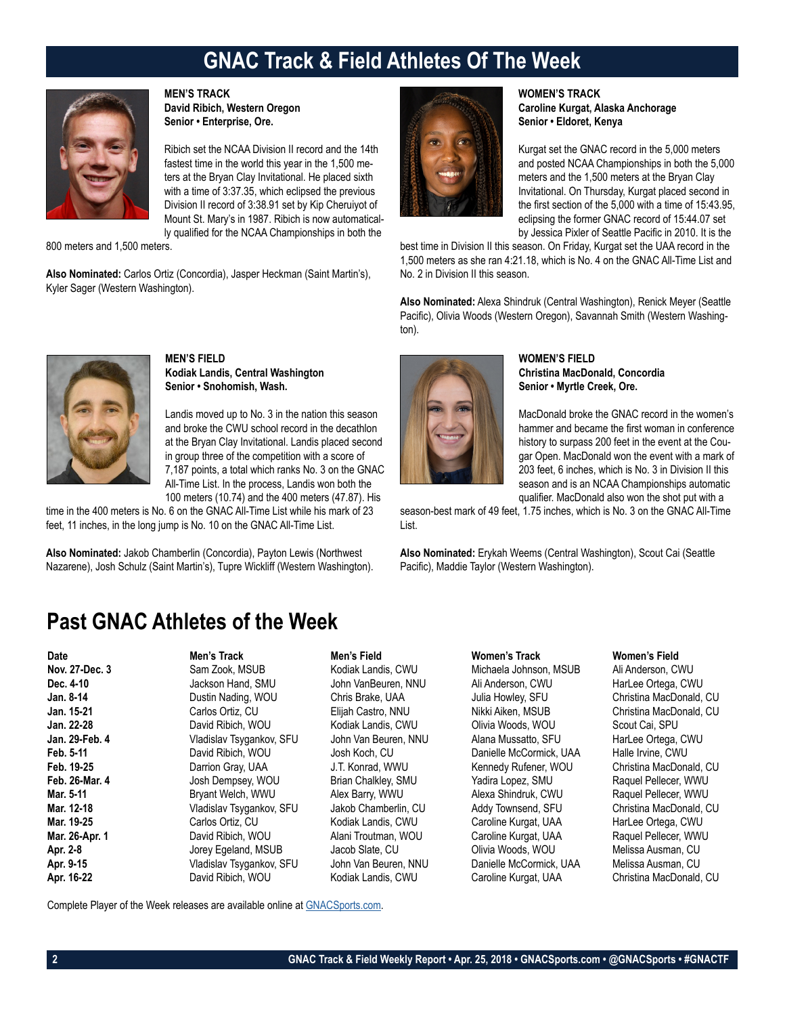# **GNAC Track & Field Athletes Of The Week**



**MEN'S TRACK David Ribich, Western Oregon Senior • Enterprise, Ore.**

Ribich set the NCAA Division II record and the 14th fastest time in the world this year in the 1,500 meters at the Bryan Clay Invitational. He placed sixth with a time of 3:37.35, which eclipsed the previous Division II record of 3:38.91 set by Kip Cheruiyot of Mount St. Mary's in 1987. Ribich is now automatically qualified for the NCAA Championships in both the

800 meters and 1,500 meters.

**Also Nominated:** Carlos Ortiz (Concordia), Jasper Heckman (Saint Martin's), Kyler Sager (Western Washington).



### **WOMEN'S TRACK Caroline Kurgat, Alaska Anchorage Senior • Eldoret, Kenya**

Kurgat set the GNAC record in the 5,000 meters and posted NCAA Championships in both the 5,000 meters and the 1,500 meters at the Bryan Clay Invitational. On Thursday, Kurgat placed second in the first section of the 5,000 with a time of 15:43.95, eclipsing the former GNAC record of 15:44.07 set by Jessica Pixler of Seattle Pacific in 2010. It is the

best time in Division II this season. On Friday, Kurgat set the UAA record in the 1,500 meters as she ran 4:21.18, which is No. 4 on the GNAC All-Time List and No. 2 in Division II this season.

**Also Nominated:** Alexa Shindruk (Central Washington), Renick Meyer (Seattle Pacific), Olivia Woods (Western Oregon), Savannah Smith (Western Washington).



# **MEN'S FIELD Kodiak Landis, Central Washington Senior • Snohomish, Wash.**

Landis moved up to No. 3 in the nation this season and broke the CWU school record in the decathlon at the Bryan Clay Invitational. Landis placed second in group three of the competition with a score of 7,187 points, a total which ranks No. 3 on the GNAC All-Time List. In the process, Landis won both the 100 meters (10.74) and the 400 meters (47.87). His

time in the 400 meters is No. 6 on the GNAC All-Time List while his mark of 23 feet, 11 inches, in the long jump is No. 10 on the GNAC All-Time List.

**Also Nominated:** Jakob Chamberlin (Concordia), Payton Lewis (Northwest Nazarene), Josh Schulz (Saint Martin's), Tupre Wickliff (Western Washington).



# **WOMEN'S FIELD Christina MacDonald, Concordia Senior • Myrtle Creek, Ore.**

MacDonald broke the GNAC record in the women's hammer and became the first woman in conference history to surpass 200 feet in the event at the Cougar Open. MacDonald won the event with a mark of 203 feet, 6 inches, which is No. 3 in Division II this season and is an NCAA Championships automatic qualifier. MacDonald also won the shot put with a

season-best mark of 49 feet, 1.75 inches, which is No. 3 on the GNAC All-Time List.

**Also Nominated:** Erykah Weems (Central Washington), Scout Cai (Seattle Pacific), Maddie Taylor (Western Washington).

# **Past GNAC Athletes of the Week**

| <b>Date</b>    | Men's Track              | Men's Field          | Women's Track           | Women's Field    |
|----------------|--------------------------|----------------------|-------------------------|------------------|
| Nov. 27-Dec. 3 | Sam Zook, MSUB           | Kodiak Landis, CWU   | Michaela Johnson, MSUB  | Ali Anderson, C  |
| Dec. 4-10      | Jackson Hand, SMU        | John VanBeuren, NNU  | Ali Anderson, CWU       | HarLee Ortega,   |
| Jan. 8-14      | Dustin Nading, WOU       | Chris Brake, UAA     | Julia Howley, SFU       | Christina MacD   |
| Jan. 15-21     | Carlos Ortiz, CU         | Elijah Castro, NNU   | Nikki Aiken, MSUB       | Christina MacD   |
| Jan. 22-28     | David Ribich, WOU        | Kodiak Landis, CWU   | Olivia Woods, WOU       | Scout Cai, SPU   |
| Jan. 29-Feb. 4 | Vladislav Tsygankov, SFU | John Van Beuren, NNU | Alana Mussatto, SFU     | HarLee Ortega,   |
| Feb. 5-11      | David Ribich, WOU        | Josh Koch, CU        | Danielle McCormick, UAA | Halle Irvine, CV |
| Feb. 19-25     | Darrion Gray, UAA        | J.T. Konrad, WWU     | Kennedy Rufener, WOU    | Christina MacD   |
| Feb. 26-Mar. 4 | Josh Dempsey, WOU        | Brian Chalkley, SMU  | Yadira Lopez, SMU       | Raquel Pellecer  |
| Mar. 5-11      | Bryant Welch, WWU        | Alex Barry, WWU      | Alexa Shindruk, CWU     | Raquel Pellecer  |
| Mar. 12-18     | Vladislav Tsygankov, SFU | Jakob Chamberlin, CU | Addy Townsend, SFU      | Christina MacD   |
| Mar. 19-25     | Carlos Ortiz, CU         | Kodiak Landis, CWU   | Caroline Kurgat, UAA    | HarLee Ortega,   |
| Mar. 26-Apr. 1 | David Ribich, WOU        | Alani Troutman, WOU  | Caroline Kurgat, UAA    | Raquel Pellecer  |
| Apr. 2-8       | Jorey Egeland, MSUB      | Jacob Slate, CU      | Olivia Woods, WOU       | Melissa Ausmar   |
| Apr. 9-15      | Vladislav Tsygankov, SFU | John Van Beuren, NNU | Danielle McCormick, UAA | Melissa Ausmar   |
| Apr. 16-22     | David Ribich, WOU        | Kodiak Landis, CWU   | Caroline Kurgat, UAA    | Christina MacD   |
|                |                          |                      |                         |                  |

# Kodiak Landis, CWU Michaela Johnson, MSUB Ali Anderson, CWU John VanBeuren, NNU Ali Anderson, CWU HarLee Ortega, CWU **Chris Brake, UAA Julia Howley, SFU Christina MacDonald, CU Jan. 15-21** Carlos Ortiz, CU Elijah Castro, NNU Nikki Aiken, MSUB Christina MacDonald, CU **Jan. 22-28** David Ribich, WOU Kodiak Landis, CWU Olivia Woods, WOU Scout Cai, SPU **Jan. 29-Feb. 4** Vladislav Tsygankov, SFU John Van Beuren, NNU Alana Mussatto, SFU HarLee Ortega, CWU **Feb. 5-11** Danielle McCormick, UAA Halle Irvine, CWU **Feb. 19-25** Darrion Gray, UAA J.T. Konrad, WWU Kennedy Rufener, WOU Christina MacDonald, CU **Frian Chalkley, SMU Yadira Lopez, SMU Raquel Pellecer, WWU** Alex Barry, WWU Alexa Shindruk, CWU Raquel Pellecer, WWU<br>Christina MacDonald Creater of Addy Townsend SFU Alexa Christina MacDonald Jakob Chamberlin, CU Addy Townsend, SFU Christina MacDonald, CU Kodiak Landis, CWU Caroline Kurgat, UAA HarLee Ortega, CWU Alani Troutman, WOU **Caroline Kurgat, UAA** Raquel Pellecer, WWU **Apr. 2-8** Jorey Egeland, MSUB Jacob Slate, CU Olivia Woods, WOU Melissa Ausman, CU **Apr. 9-15** Vladislav Tsygankov, SFU John Van Beuren, NNU Danielle McCormick, UAA Melissa Ausman, CU Kodiak Landis, CWU **Caroline Kurgat, UAA** Christina MacDonald, CU

Complete Player of the Week releases are available online at [GNACSports.com](http://www.gnacsports.com/football/fbredlion/).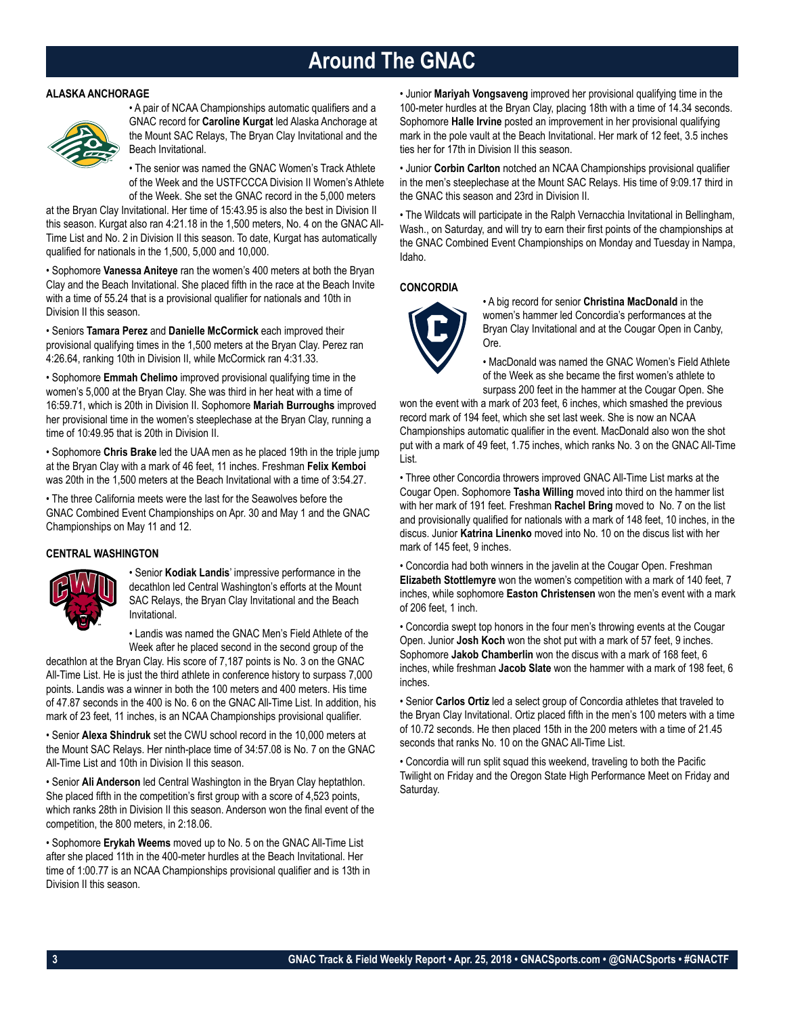# **Around The GNAC**

### **ALASKA ANCHORAGE**



• A pair of NCAA Championships automatic qualifiers and a GNAC record for **Caroline Kurgat** led Alaska Anchorage at the Mount SAC Relays, The Bryan Clay Invitational and the Beach Invitational.

• The senior was named the GNAC Women's Track Athlete of the Week and the USTFCCCA Division II Women's Athlete of the Week. She set the GNAC record in the 5,000 meters

at the Bryan Clay Invitational. Her time of 15:43.95 is also the best in Division II this season. Kurgat also ran 4:21.18 in the 1,500 meters, No. 4 on the GNAC All-Time List and No. 2 in Division II this season. To date, Kurgat has automatically qualified for nationals in the 1,500, 5,000 and 10,000.

• Sophomore **Vanessa Aniteye** ran the women's 400 meters at both the Bryan Clay and the Beach Invitational. She placed fifth in the race at the Beach Invite with a time of 55.24 that is a provisional qualifier for nationals and 10th in Division II this season.

• Seniors **Tamara Perez** and **Danielle McCormick** each improved their provisional qualifying times in the 1,500 meters at the Bryan Clay. Perez ran 4:26.64, ranking 10th in Division II, while McCormick ran 4:31.33.

• Sophomore **Emmah Chelimo** improved provisional qualifying time in the women's 5,000 at the Bryan Clay. She was third in her heat with a time of 16:59.71, which is 20th in Division II. Sophomore **Mariah Burroughs** improved her provisional time in the women's steeplechase at the Bryan Clay, running a time of 10:49.95 that is 20th in Division II.

• Sophomore **Chris Brake** led the UAA men as he placed 19th in the triple jump at the Bryan Clay with a mark of 46 feet, 11 inches. Freshman **Felix Kemboi** was 20th in the 1,500 meters at the Beach Invitational with a time of 3:54.27.

• The three California meets were the last for the Seawolves before the GNAC Combined Event Championships on Apr. 30 and May 1 and the GNAC Championships on May 11 and 12.

# **CENTRAL WASHINGTON**



• Senior **Kodiak Landis**' impressive performance in the decathlon led Central Washington's efforts at the Mount SAC Relays, the Bryan Clay Invitational and the Beach Invitational.

• Landis was named the GNAC Men's Field Athlete of the Week after he placed second in the second group of the

decathlon at the Bryan Clay. His score of 7,187 points is No. 3 on the GNAC All-Time List. He is just the third athlete in conference history to surpass 7,000 points. Landis was a winner in both the 100 meters and 400 meters. His time of 47.87 seconds in the 400 is No. 6 on the GNAC All-Time List. In addition, his mark of 23 feet, 11 inches, is an NCAA Championships provisional qualifier.

• Senior **Alexa Shindruk** set the CWU school record in the 10,000 meters at the Mount SAC Relays. Her ninth-place time of 34:57.08 is No. 7 on the GNAC All-Time List and 10th in Division II this season.

• Senior **Ali Anderson** led Central Washington in the Bryan Clay heptathlon. She placed fifth in the competition's first group with a score of 4,523 points, which ranks 28th in Division II this season. Anderson won the final event of the competition, the 800 meters, in 2:18.06.

• Sophomore **Erykah Weems** moved up to No. 5 on the GNAC All-Time List after she placed 11th in the 400-meter hurdles at the Beach Invitational. Her time of 1:00.77 is an NCAA Championships provisional qualifier and is 13th in Division II this season.

• Junior **Mariyah Vongsaveng** improved her provisional qualifying time in the 100-meter hurdles at the Bryan Clay, placing 18th with a time of 14.34 seconds. Sophomore **Halle Irvine** posted an improvement in her provisional qualifying mark in the pole vault at the Beach Invitational. Her mark of 12 feet, 3.5 inches ties her for 17th in Division II this season.

• Junior **Corbin Carlton** notched an NCAA Championships provisional qualifier in the men's steeplechase at the Mount SAC Relays. His time of 9:09.17 third in the GNAC this season and 23rd in Division II.

• The Wildcats will participate in the Ralph Vernacchia Invitational in Bellingham, Wash., on Saturday, and will try to earn their first points of the championships at the GNAC Combined Event Championships on Monday and Tuesday in Nampa, Idaho.

# **CONCORDIA**



• A big record for senior **Christina MacDonald** in the women's hammer led Concordia's performances at the Bryan Clay Invitational and at the Cougar Open in Canby, Ore.

• MacDonald was named the GNAC Women's Field Athlete of the Week as she became the first women's athlete to surpass 200 feet in the hammer at the Cougar Open. She

won the event with a mark of 203 feet, 6 inches, which smashed the previous record mark of 194 feet, which she set last week. She is now an NCAA Championships automatic qualifier in the event. MacDonald also won the shot put with a mark of 49 feet, 1.75 inches, which ranks No. 3 on the GNAC All-Time List.

• Three other Concordia throwers improved GNAC All-Time List marks at the Cougar Open. Sophomore **Tasha Willing** moved into third on the hammer list with her mark of 191 feet. Freshman **Rachel Bring** moved to No. 7 on the list and provisionally qualified for nationals with a mark of 148 feet, 10 inches, in the discus. Junior **Katrina Linenko** moved into No. 10 on the discus list with her mark of 145 feet, 9 inches.

• Concordia had both winners in the javelin at the Cougar Open. Freshman **Elizabeth Stottlemyre** won the women's competition with a mark of 140 feet, 7 inches, while sophomore **Easton Christensen** won the men's event with a mark of 206 feet, 1 inch.

• Concordia swept top honors in the four men's throwing events at the Cougar Open. Junior **Josh Koch** won the shot put with a mark of 57 feet, 9 inches. Sophomore **Jakob Chamberlin** won the discus with a mark of 168 feet, 6 inches, while freshman **Jacob Slate** won the hammer with a mark of 198 feet, 6 inches.

• Senior **Carlos Ortiz** led a select group of Concordia athletes that traveled to the Bryan Clay Invitational. Ortiz placed fifth in the men's 100 meters with a time of 10.72 seconds. He then placed 15th in the 200 meters with a time of 21.45 seconds that ranks No. 10 on the GNAC All-Time List.

• Concordia will run split squad this weekend, traveling to both the Pacific Twilight on Friday and the Oregon State High Performance Meet on Friday and Saturday.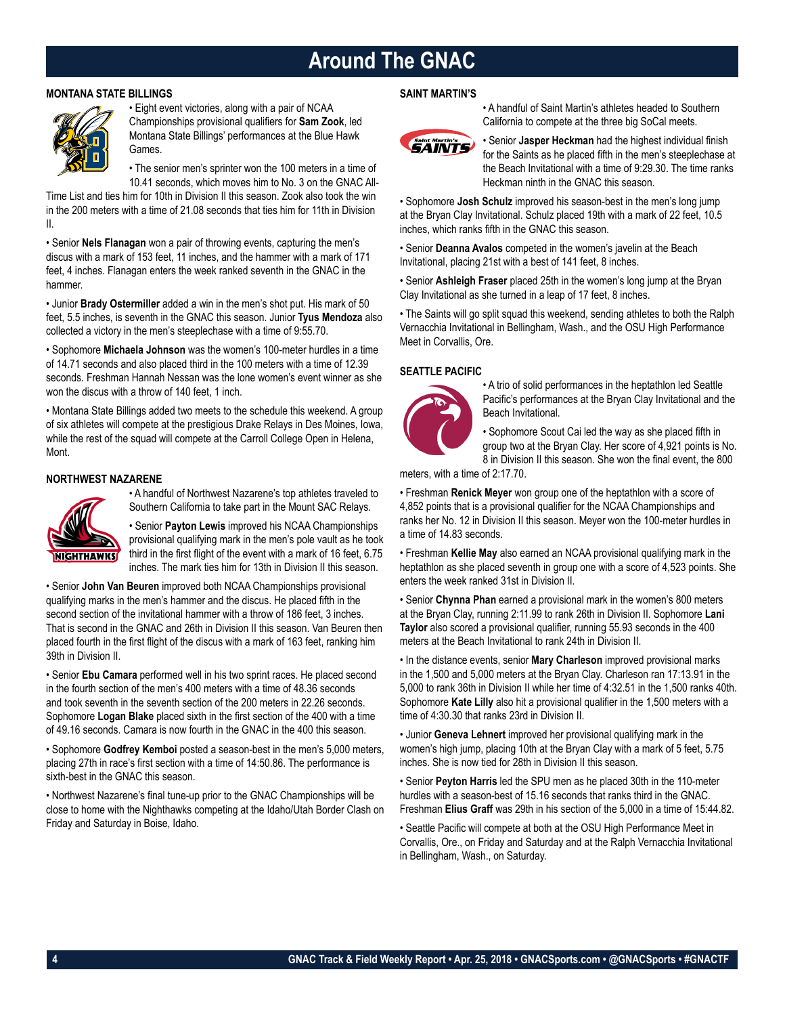# **Around The GNAC**

# **MONTANA STATE BILLINGS**



• Eight event victories, along with a pair of NCAA Championships provisional qualifiers for **Sam Zook**, led Montana State Billings' performances at the Blue Hawk Games.

• The senior men's sprinter won the 100 meters in a time of 10.41 seconds, which moves him to No. 3 on the GNAC All-

Time List and ties him for 10th in Division II this season. Zook also took the win in the 200 meters with a time of 21.08 seconds that ties him for 11th in Division II.

• Senior **Nels Flanagan** won a pair of throwing events, capturing the men's discus with a mark of 153 feet, 11 inches, and the hammer with a mark of 171 feet, 4 inches. Flanagan enters the week ranked seventh in the GNAC in the hammer.

• Junior **Brady Ostermiller** added a win in the men's shot put. His mark of 50 feet, 5.5 inches, is seventh in the GNAC this season. Junior **Tyus Mendoza** also collected a victory in the men's steeplechase with a time of 9:55.70.

• Sophomore **Michaela Johnson** was the women's 100-meter hurdles in a time of 14.71 seconds and also placed third in the 100 meters with a time of 12.39 seconds. Freshman Hannah Nessan was the lone women's event winner as she won the discus with a throw of  $140$  feet, 1 inch.

• Montana State Billings added two meets to the schedule this weekend. A group of six athletes will compete at the prestigious Drake Relays in Des Moines, Iowa, while the rest of the squad will compete at the Carroll College Open in Helena, Mont.

# **NORTHWEST NAZARENE**



• A handful of Northwest Nazarene's top athletes traveled to Southern California to take part in the Mount SAC Relays.

• Senior **Payton Lewis** improved his NCAA Championships provisional qualifying mark in the men's pole vault as he took third in the first flight of the event with a mark of 16 feet, 6.75 inches. The mark ties him for 13th in Division II this season.

• Senior **John Van Beuren** improved both NCAA Championships provisional qualifying marks in the men's hammer and the discus. He placed fifth in the second section of the invitational hammer with a throw of 186 feet, 3 inches. That is second in the GNAC and 26th in Division II this season. Van Beuren then placed fourth in the first flight of the discus with a mark of 163 feet, ranking him 39th in Division II.

• Senior **Ebu Camara** performed well in his two sprint races. He placed second in the fourth section of the men's 400 meters with a time of 48.36 seconds and took seventh in the seventh section of the 200 meters in 22.26 seconds. Sophomore **Logan Blake** placed sixth in the first section of the 400 with a time of 49.16 seconds. Camara is now fourth in the GNAC in the 400 this season.

• Sophomore **Godfrey Kemboi** posted a season-best in the men's 5,000 meters, placing 27th in race's first section with a time of 14:50.86. The performance is sixth-best in the GNAC this season.

• Northwest Nazarene's final tune-up prior to the GNAC Championships will be close to home with the Nighthawks competing at the Idaho/Utah Border Clash on Friday and Saturday in Boise, Idaho.

# **SAINT MARTIN'S**



• A handful of Saint Martin's athletes headed to Southern California to compete at the three big SoCal meets.

• Senior **Jasper Heckman** had the highest individual finish for the Saints as he placed fifth in the men's steeplechase at the Beach Invitational with a time of 9:29.30. The time ranks Heckman ninth in the GNAC this season.

• Sophomore **Josh Schulz** improved his season-best in the men's long jump at the Bryan Clay Invitational. Schulz placed 19th with a mark of 22 feet, 10.5 inches, which ranks fifth in the GNAC this season.

• Senior **Deanna Avalos** competed in the women's javelin at the Beach Invitational, placing 21st with a best of 141 feet, 8 inches.

• Senior **Ashleigh Fraser** placed 25th in the women's long jump at the Bryan Clay Invitational as she turned in a leap of 17 feet, 8 inches.

• The Saints will go split squad this weekend, sending athletes to both the Ralph Vernacchia Invitational in Bellingham, Wash., and the OSU High Performance Meet in Corvallis, Ore.

# **SEATTLE PACIFIC**



• A trio of solid performances in the heptathlon led Seattle Pacific's performances at the Bryan Clay Invitational and the Beach Invitational.

• Sophomore Scout Cai led the way as she placed fifth in group two at the Bryan Clay. Her score of 4,921 points is No. 8 in Division II this season. She won the final event, the 800

meters, with a time of 2:17.70.

• Freshman **Renick Meyer** won group one of the heptathlon with a score of 4,852 points that is a provisional qualifier for the NCAA Championships and ranks her No. 12 in Division II this season. Meyer won the 100-meter hurdles in a time of 14.83 seconds.

• Freshman **Kellie May** also earned an NCAA provisional qualifying mark in the heptathlon as she placed seventh in group one with a score of 4,523 points. She enters the week ranked 31st in Division II.

• Senior **Chynna Phan** earned a provisional mark in the women's 800 meters at the Bryan Clay, running 2:11.99 to rank 26th in Division II. Sophomore **Lani Taylor** also scored a provisional qualifier, running 55.93 seconds in the 400 meters at the Beach Invitational to rank 24th in Division II.

• In the distance events, senior **Mary Charleson** improved provisional marks in the 1,500 and 5,000 meters at the Bryan Clay. Charleson ran 17:13.91 in the 5,000 to rank 36th in Division II while her time of 4:32.51 in the 1,500 ranks 40th. Sophomore **Kate Lilly** also hit a provisional qualifier in the 1,500 meters with a time of 4:30.30 that ranks 23rd in Division II.

• Junior **Geneva Lehnert** improved her provisional qualifying mark in the women's high jump, placing 10th at the Bryan Clay with a mark of 5 feet, 5.75 inches. She is now tied for 28th in Division II this season.

• Senior **Peyton Harris** led the SPU men as he placed 30th in the 110-meter hurdles with a season-best of 15.16 seconds that ranks third in the GNAC. Freshman **Elius Graff** was 29th in his section of the 5,000 in a time of 15:44.82.

• Seattle Pacific will compete at both at the OSU High Performance Meet in Corvallis, Ore., on Friday and Saturday and at the Ralph Vernacchia Invitational in Bellingham, Wash., on Saturday.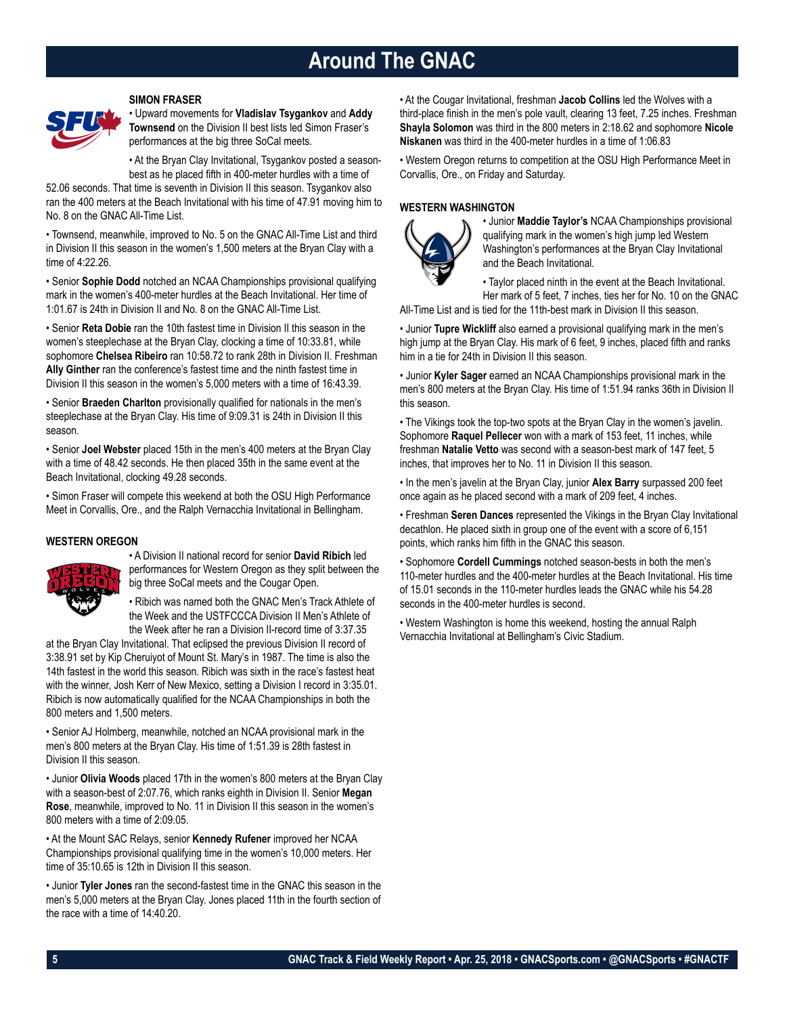# **Around The GNAC**

### **SIMON FRASER**



• Upward movements for **Vladislav Tsygankov** and **Addy Townsend** on the Division II best lists led Simon Fraser's performances at the big three SoCal meets.

• At the Bryan Clay Invitational, Tsygankov posted a seasonbest as he placed fifth in 400-meter hurdles with a time of

52.06 seconds. That time is seventh in Division II this season. Tsygankov also ran the 400 meters at the Beach Invitational with his time of 47.91 moving him to No. 8 on the GNAC All-Time List.

• Townsend, meanwhile, improved to No. 5 on the GNAC All-Time List and third in Division II this season in the women's 1,500 meters at the Bryan Clay with a time of 4:22.26.

• Senior **Sophie Dodd** notched an NCAA Championships provisional qualifying mark in the women's 400-meter hurdles at the Beach Invitational. Her time of 1:01.67 is 24th in Division II and No. 8 on the GNAC All-Time List.

• Senior **Reta Dobie** ran the 10th fastest time in Division II this season in the women's steeplechase at the Bryan Clay, clocking a time of 10:33.81, while sophomore **Chelsea Ribeiro** ran 10:58.72 to rank 28th in Division II. Freshman **Ally Ginther** ran the conference's fastest time and the ninth fastest time in Division II this season in the women's 5,000 meters with a time of 16:43.39.

• Senior **Braeden Charlton** provisionally qualified for nationals in the men's steeplechase at the Bryan Clay. His time of 9:09.31 is 24th in Division II this season.

• Senior **Joel Webster** placed 15th in the men's 400 meters at the Bryan Clay with a time of 48.42 seconds. He then placed 35th in the same event at the Beach Invitational, clocking 49.28 seconds.

• Simon Fraser will compete this weekend at both the OSU High Performance Meet in Corvallis, Ore., and the Ralph Vernacchia Invitational in Bellingham.

# **WESTERN OREGON**



• A Division II national record for senior **David Ribich** led performances for Western Oregon as they split between the big three SoCal meets and the Cougar Open.

• Ribich was named both the GNAC Men's Track Athlete of the Week and the USTFCCCA Division II Men's Athlete of the Week after he ran a Division II-record time of 3:37.35

at the Bryan Clay Invitational. That eclipsed the previous Division II record of 3:38.91 set by Kip Cheruiyot of Mount St. Mary's in 1987. The time is also the 14th fastest in the world this season. Ribich was sixth in the race's fastest heat with the winner, Josh Kerr of New Mexico, setting a Division I record in 3:35.01. Ribich is now automatically qualified for the NCAA Championships in both the 800 meters and 1,500 meters.

• Senior AJ Holmberg, meanwhile, notched an NCAA provisional mark in the men's 800 meters at the Bryan Clay. His time of 1:51.39 is 28th fastest in Division II this season.

• Junior **Olivia Woods** placed 17th in the women's 800 meters at the Bryan Clay with a season-best of 2:07.76, which ranks eighth in Division II. Senior **Megan Rose**, meanwhile, improved to No. 11 in Division II this season in the women's 800 meters with a time of 2:09.05.

• At the Mount SAC Relays, senior **Kennedy Rufener** improved her NCAA Championships provisional qualifying time in the women's 10,000 meters. Her time of 35:10.65 is 12th in Division II this season.

• Junior **Tyler Jones** ran the second-fastest time in the GNAC this season in the men's 5,000 meters at the Bryan Clay. Jones placed 11th in the fourth section of the race with a time of 14:40.20.

• At the Cougar Invitational, freshman **Jacob Collins** led the Wolves with a third-place finish in the men's pole vault, clearing 13 feet, 7.25 inches. Freshman **Shayla Solomon** was third in the 800 meters in 2:18.62 and sophomore **Nicole Niskanen** was third in the 400-meter hurdles in a time of 1:06.83

• Western Oregon returns to competition at the OSU High Performance Meet in Corvallis, Ore., on Friday and Saturday.

### **WESTERN WASHINGTON**



• Junior **Maddie Taylor's** NCAA Championships provisional qualifying mark in the women's high jump led Western Washington's performances at the Bryan Clay Invitational and the Beach Invitational.

• Taylor placed ninth in the event at the Beach Invitational. Her mark of 5 feet, 7 inches, ties her for No. 10 on the GNAC

All-Time List and is tied for the 11th-best mark in Division II this season.

• Junior **Tupre Wickliff** also earned a provisional qualifying mark in the men's high jump at the Bryan Clay. His mark of 6 feet, 9 inches, placed fifth and ranks him in a tie for 24th in Division II this season.

• Junior **Kyler Sager** earned an NCAA Championships provisional mark in the men's 800 meters at the Bryan Clay. His time of 1:51.94 ranks 36th in Division II this season.

• The Vikings took the top-two spots at the Bryan Clay in the women's javelin. Sophomore **Raquel Pellecer** won with a mark of 153 feet, 11 inches, while freshman **Natalie Vetto** was second with a season-best mark of 147 feet, 5 inches, that improves her to No. 11 in Division II this season.

• In the men's javelin at the Bryan Clay, junior **Alex Barry** surpassed 200 feet once again as he placed second with a mark of 209 feet, 4 inches.

• Freshman **Seren Dances** represented the Vikings in the Bryan Clay Invitational decathlon. He placed sixth in group one of the event with a score of 6,151 points, which ranks him fifth in the GNAC this season.

• Sophomore **Cordell Cummings** notched season-bests in both the men's 110-meter hurdles and the 400-meter hurdles at the Beach Invitational. His time of 15.01 seconds in the 110-meter hurdles leads the GNAC while his 54.28 seconds in the 400-meter hurdles is second.

• Western Washington is home this weekend, hosting the annual Ralph Vernacchia Invitational at Bellingham's Civic Stadium.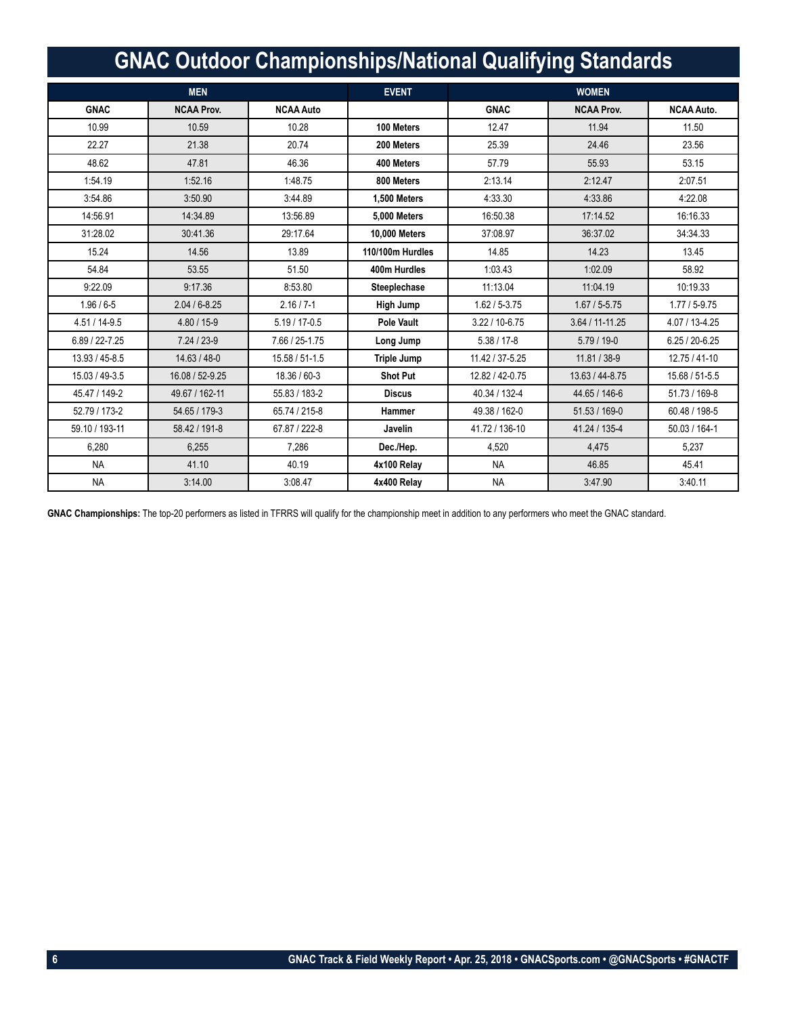|                    | <b>GNAC Outdoor Championships/National Qualifying Standards</b> |                    |                      |                    |                   |                   |
|--------------------|-----------------------------------------------------------------|--------------------|----------------------|--------------------|-------------------|-------------------|
|                    | <b>MEN</b>                                                      |                    | <b>EVENT</b>         |                    | <b>WOMEN</b>      |                   |
| <b>GNAC</b>        | <b>NCAA Prov.</b>                                               | <b>NCAA Auto</b>   |                      | <b>GNAC</b>        | <b>NCAA Prov.</b> | <b>NCAA Auto.</b> |
| 10.99              | 10.59                                                           | 10.28              | 100 Meters           | 12.47              | 11.94             | 11.50             |
| 22.27              | 21.38                                                           | 20.74              | 200 Meters           | 25.39              | 24.46             | 23.56             |
| 48.62              | 47.81                                                           | 46.36              | 400 Meters           | 57.79              | 55.93             | 53.15             |
| 1:54.19            | 1:52.16                                                         | 1:48.75            | 800 Meters           | 2:13.14            | 2:12.47           | 2:07.51           |
| 3:54.86            | 3:50.90                                                         | 3:44.89            | 1.500 Meters         | 4:33.30            | 4:33.86           | 4:22.08           |
| 14:56.91           | 14:34.89                                                        | 13:56.89           | 5.000 Meters         | 16:50.38           | 17:14.52          | 16:16.33          |
| 31:28.02           | 30:41.36                                                        | 29:17.64           | <b>10.000 Meters</b> | 37:08.97           | 36:37.02          | 34:34.33          |
| 15.24              | 14.56                                                           | 13.89              | 110/100m Hurdles     | 14.85              | 14.23             | 13.45             |
| 54.84              | 53.55                                                           | 51.50              | 400m Hurdles         | 1:03.43            | 1:02.09           | 58.92             |
| 9:22.09            | 9:17.36                                                         | 8:53.80            | Steeplechase         | 11:13.04           | 11:04.19          | 10:19.33          |
| $1.96 / 6 - 5$     | $2.04 / 6 - 8.25$                                               | $2.16 / 7 - 1$     | <b>High Jump</b>     | $1.62 / 5 - 3.75$  | $1.67 / 5 - 5.75$ | $1.77/5 - 9.75$   |
| 4.51 / 14-9.5      | $4.80 / 15 - 9$                                                 | $5.19 / 17 - 0.5$  | Pole Vault           | $3.22 / 10 - 6.75$ | 3.64 / 11-11.25   | 4.07 / 13-4.25    |
| 6.89 / 22-7.25     | $7.24 / 23 - 9$                                                 | 7.66 / 25-1.75     | Long Jump            | $5.38 / 17 - 8$    | $5.79/19-0$       | $6.25/20 - 6.25$  |
| $13.93 / 45 - 8.5$ | 14.63 / 48-0                                                    | $15.58 / 51 - 1.5$ | <b>Triple Jump</b>   | 11.42 / 37-5.25    | 11.81 / 38-9      | 12.75 / 41-10     |
| 15.03 / 49-3.5     | 16.08 / 52-9.25                                                 | 18.36 / 60-3       | <b>Shot Put</b>      | 12.82 / 42-0.75    | 13.63 / 44-8.75   | 15.68 / 51-5.5    |
| 45.47 / 149-2      | 49.67 / 162-11                                                  | 55.83 / 183-2      | <b>Discus</b>        | 40.34 / 132-4      | 44.65 / 146-6     | 51.73 / 169-8     |
| 52.79 / 173-2      | 54.65 / 179-3                                                   | 65.74 / 215-8      | Hammer               | 49.38 / 162-0      | $51.53 / 169 - 0$ | 60.48 / 198-5     |
| 59.10 / 193-11     | 58.42 / 191-8                                                   | 67.87 / 222-8      | Javelin              | 41.72 / 136-10     | 41.24 / 135-4     | $50.03 / 164 - 1$ |
| 6.280              | 6.255                                                           | 7.286              | Dec./Hep.            | 4.520              | 4.475             | 5.237             |
| <b>NA</b>          | 41.10                                                           | 40.19              | 4x100 Relay          | <b>NA</b>          | 46.85             | 45.41             |
| <b>NA</b>          | 3:14.00                                                         | 3:08.47            | 4x400 Relay          | <b>NA</b>          | 3:47.90           | 3:40.11           |

**GNAC Championships:** The top-20 performers as listed in TFRRS will qualify for the championship meet in addition to any performers who meet the GNAC standard.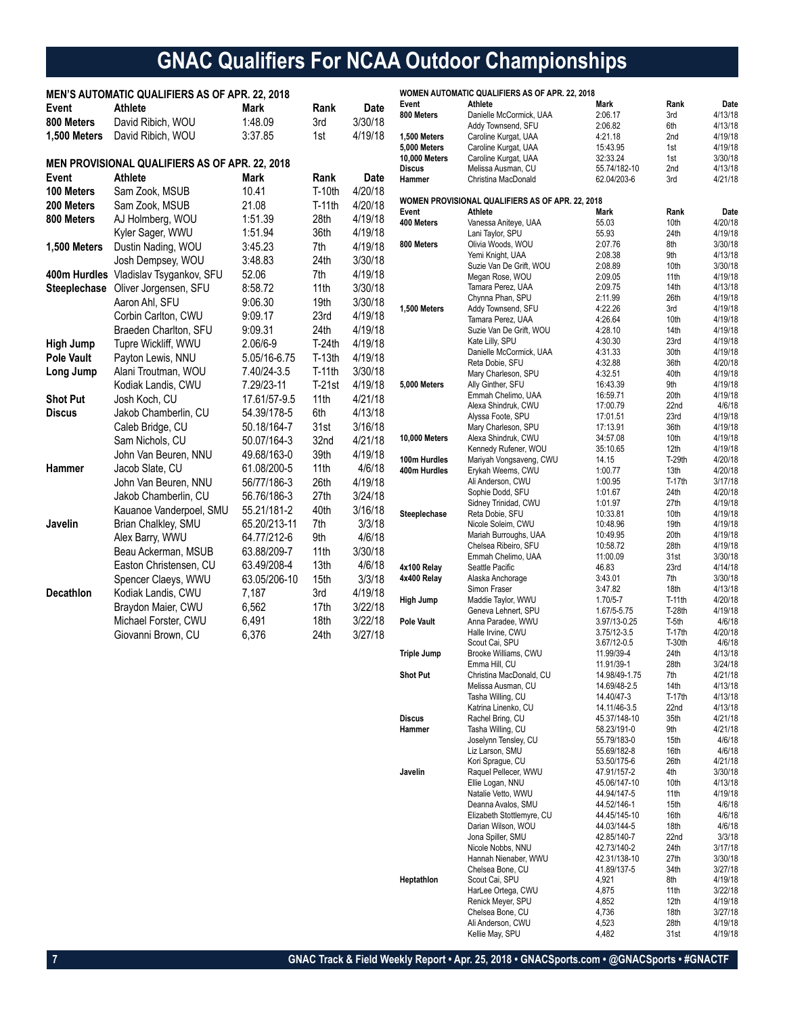# **GNAC Qualifiers For NCAA Outdoor Championships**

|                     | <b>MEN'S AUTOMATIC QUALIFIERS AS OF APR. 22, 2018</b> |              |          |             |                                             | <b>WOMEN AUTOMATIC QUALIFIERS AS OF APR. 22, 2018</b> |                            |                  |                    |
|---------------------|-------------------------------------------------------|--------------|----------|-------------|---------------------------------------------|-------------------------------------------------------|----------------------------|------------------|--------------------|
| Event               | <b>Athlete</b>                                        | Mark         | Rank     | <b>Date</b> | Event                                       | Athlete                                               | Mark                       | Rank             | Date               |
| 800 Meters          | David Ribich, WOU                                     | 1:48.09      | 3rd      | 3/30/18     | 800 Meters                                  | Danielle McCormick, UAA                               | 2:06.17                    | 3rd              | 4/13/18            |
|                     |                                                       |              |          |             |                                             | Addy Townsend, SFU                                    | 2:06.82                    | 6th              | 4/13/18            |
| 1,500 Meters        | David Ribich, WOU                                     | 3:37.85      | 1st      | 4/19/18     | 1,500 Meters                                | Caroline Kurgat, UAA                                  | 4:21.18                    | 2nd              | 4/19/18            |
|                     |                                                       |              |          |             | <b>5,000 Meters</b><br><b>10,000 Meters</b> | Caroline Kurgat, UAA<br>Caroline Kurgat, UAA          | 15:43.95<br>32:33.24       | 1st<br>1st       | 4/19/18<br>3/30/18 |
|                     | MEN PROVISIONAL QUALIFIERS AS OF APR. 22, 2018        |              |          |             | Discus                                      | Melissa Ausman, CU                                    | 55.74/182-10               | 2nd              | 4/13/18            |
| Event               | Athlete                                               | Mark         | Rank     | Date        | Hammer                                      | Christina MacDonald                                   | 62.04/203-6                | 3rd              | 4/21/18            |
| 100 Meters          | Sam Zook, MSUB                                        | 10.41        | T-10th   | 4/20/18     |                                             |                                                       |                            |                  |                    |
| 200 Meters          | Sam Zook, MSUB                                        | 21.08        | T-11th   | 4/20/18     |                                             | WOMEN PROVISIONAL QUALIFIERS AS OF APR. 22, 2018      |                            |                  |                    |
| 800 Meters          | AJ Holmberg, WOU                                      | 1:51.39      | 28th     | 4/19/18     | Event                                       | Athlete                                               | Mark                       | Rank             | Date               |
|                     | Kyler Sager, WWU                                      | 1:51.94      | 36th     | 4/19/18     | 400 Meters                                  | Vanessa Aniteye, UAA                                  | 55.03                      | 10th             | 4/20/18<br>4/19/18 |
|                     |                                                       |              |          |             | 800 Meters                                  | Lani Taylor, SPU<br>Olivia Woods, WOU                 | 55.93<br>2:07.76           | 24th<br>8th      | 3/30/18            |
| 1,500 Meters        | Dustin Nading, WOU                                    | 3:45.23      | 7th      | 4/19/18     |                                             | Yemi Knight, UAA                                      | 2:08.38                    | 9th              | 4/13/18            |
|                     | Josh Dempsey, WOU                                     | 3:48.83      | 24th     | 3/30/18     |                                             | Suzie Van De Grift, WOU                               | 2:08.89                    | 10th             | 3/30/18            |
|                     | 400m Hurdles Vladislav Tsygankov, SFU                 | 52.06        | 7th      | 4/19/18     |                                             | Megan Rose, WOU                                       | 2:09.05                    | 11th             | 4/19/18            |
| <b>Steeplechase</b> | Oliver Jorgensen, SFU                                 | 8:58.72      | 11th     | 3/30/18     |                                             | Tamara Perez, UAA                                     | 2:09.75                    | 14th             | 4/13/18            |
|                     | Aaron Ahl, SFU                                        | 9:06.30      | 19th     | 3/30/18     |                                             | Chynna Phan, SPU                                      | 2:11.99<br>4:22.26         | 26th             | 4/19/18<br>4/19/18 |
|                     | Corbin Carlton, CWU                                   | 9:09.17      | 23rd     | 4/19/18     | 1,500 Meters                                | Addy Townsend, SFU<br>Tamara Perez, UAA               | 4:26.64                    | 3rd<br>10th      | 4/19/18            |
|                     | Braeden Charlton, SFU                                 | 9:09.31      | 24th     | 4/19/18     |                                             | Suzie Van De Grift, WOU                               | 4:28.10                    | 14th             | 4/19/18            |
| <b>High Jump</b>    | Tupre Wickliff, WWU                                   | 2.06/6-9     | $T-24th$ | 4/19/18     |                                             | Kate Lilly, SPU                                       | 4:30.30                    | 23rd             | 4/19/18            |
| <b>Pole Vault</b>   | Payton Lewis, NNU                                     | 5.05/16-6.75 | $T-13th$ | 4/19/18     |                                             | Danielle McCormick, UAA                               | 4:31.33                    | 30th             | 4/19/18            |
|                     | Alani Troutman, WOU                                   |              | T-11th   | 3/30/18     |                                             | Reta Dobie, SFU                                       | 4:32.88                    | 36th             | 4/20/18            |
| Long Jump           |                                                       | 7.40/24-3.5  |          |             |                                             | Mary Charleson, SPU                                   | 4:32.51                    | 40th             | 4/19/18            |
|                     | Kodiak Landis, CWU                                    | 7.29/23-11   | $T-21st$ | 4/19/18     | <b>5,000 Meters</b>                         | Ally Ginther, SFU<br>Emmah Chelimo, UAA               | 16:43.39<br>16:59.71       | 9th<br>20th      | 4/19/18<br>4/19/18 |
| <b>Shot Put</b>     | Josh Koch, CU                                         | 17.61/57-9.5 | 11th     | 4/21/18     |                                             | Alexa Shindruk, CWU                                   | 17:00.79                   | 22nd             | 4/6/18             |
| <b>Discus</b>       | Jakob Chamberlin, CU                                  | 54.39/178-5  | 6th      | 4/13/18     |                                             | Alyssa Foote, SPU                                     | 17:01.51                   | 23rd             | 4/19/18            |
|                     | Caleb Bridge, CU                                      | 50.18/164-7  | 31st     | 3/16/18     |                                             | Mary Charleson, SPU                                   | 17:13.91                   | 36th             | 4/19/18            |
|                     | Sam Nichols, CU                                       | 50.07/164-3  | 32nd     | 4/21/18     | 10,000 Meters                               | Alexa Shindruk, CWU                                   | 34:57.08                   | 10th             | 4/19/18            |
|                     | John Van Beuren, NNU                                  | 49.68/163-0  | 39th     | 4/19/18     | 100m Hurdles                                | Kennedy Rufener, WOU                                  | 35:10.65                   | 12th<br>$T-29th$ | 4/19/18<br>4/20/18 |
| Hammer              | Jacob Slate, CU                                       | 61.08/200-5  | 11th     | 4/6/18      | 400m Hurdles                                | Mariyah Vongsaveng, CWU<br>Erykah Weems, CWU          | 14.15<br>1:00.77           | 13th             | 4/20/18            |
|                     | John Van Beuren, NNU                                  | 56/77/186-3  | 26th     | 4/19/18     |                                             | Ali Anderson, CWU                                     | 1:00.95                    | $T-17th$         | 3/17/18            |
|                     | Jakob Chamberlin, CU                                  | 56.76/186-3  | 27th     | 3/24/18     |                                             | Sophie Dodd, SFU                                      | 1:01.67                    | 24th             | 4/20/18            |
|                     | Kauanoe Vanderpoel, SMU                               | 55.21/181-2  | 40th     | 3/16/18     |                                             | Sidney Trinidad, CWU                                  | 1:01.97                    | 27th             | 4/19/18            |
|                     |                                                       | 65.20/213-11 |          | 3/3/18      | Steeplechase                                | Reta Dobie, SFU                                       | 10:33.81                   | 10th             | 4/19/18            |
| Javelin             | Brian Chalkley, SMU                                   |              | 7th      |             |                                             | Nicole Soleim, CWU<br>Mariah Burroughs, UAA           | 10:48.96<br>10:49.95       | 19th<br>20th     | 4/19/18<br>4/19/18 |
|                     | Alex Barry, WWU                                       | 64.77/212-6  | 9th      | 4/6/18      |                                             | Chelsea Ribeiro, SFU                                  | 10:58.72                   | 28th             | 4/19/18            |
|                     | Beau Ackerman, MSUB                                   | 63.88/209-7  | 11th     | 3/30/18     |                                             | Emmah Chelimo, UAA                                    | 11:00.09                   | 31st             | 3/30/18            |
|                     | Easton Christensen, CU                                | 63.49/208-4  | 13th     | 4/6/18      | 4x100 Relay                                 | Seattle Pacific                                       | 46.83                      | 23rd             | 4/14/18            |
|                     | Spencer Claeys, WWU                                   | 63.05/206-10 | 15th     | 3/3/18      | 4x400 Relay                                 | Alaska Anchorage                                      | 3:43.01                    | 7th              | 3/30/18            |
| Decathlon           | Kodiak Landis, CWU                                    | 7,187        | 3rd      | 4/19/18     | High Jump                                   | Simon Fraser<br>Maddie Taylor, WWU                    | 3:47.82<br>$1.70/5 - 7$    | 18th<br>T-11th   | 4/13/18<br>4/20/18 |
|                     | Braydon Maier, CWU                                    | 6,562        | 17th     | 3/22/18     |                                             | Geneva Lehnert, SPU                                   | 1.67/5-5.75                | $T-28th$         | 4/19/18            |
|                     | Michael Forster, CWU                                  | 6,491        | 18th     | 3/22/18     | <b>Pole Vault</b>                           | Anna Paradee, WWU                                     | 3.97/13-0.25               | T-5th            | 4/6/18             |
|                     | Giovanni Brown, CU                                    | 6,376        | 24th     | 3/27/18     |                                             | Halle Irvine, CWU                                     | 3.75/12-3.5                | T-17th           | 4/20/18            |
|                     |                                                       |              |          |             |                                             | Scout Cai, SPU                                        | 3.67/12-0.5                | $T-30th$         | 4/6/18             |
|                     |                                                       |              |          |             | <b>Triple Jump</b>                          | Brooke Williams, CWU<br>Emma Hill, CU                 | 11.99/39-4<br>11.91/39-1   | 24th<br>28th     | 4/13/18<br>3/24/18 |
|                     |                                                       |              |          |             | <b>Shot Put</b>                             | Christina MacDonald, CU                               | 14.98/49-1.75              | 7th              | 4/21/18            |
|                     |                                                       |              |          |             |                                             | Melissa Ausman, CU                                    | 14.69/48-2.5               | 14th             | 4/13/18            |
|                     |                                                       |              |          |             |                                             | Tasha Willing, CU                                     | 14.40/47-3                 | T-17th           | 4/13/18            |
|                     |                                                       |              |          |             |                                             | Katrina Linenko, CU                                   | 14.11/46-3.5               | 22nd             | 4/13/18            |
|                     |                                                       |              |          |             | <b>Discus</b>                               | Rachel Bring, CU                                      | 45.37/148-10               | 35th             | 4/21/18            |
|                     |                                                       |              |          |             | Hammer                                      | Tasha Willing, CU<br>Joselynn Tensley, CU             | 58.23/191-0<br>55.79/183-0 | 9th<br>15th      | 4/21/18<br>4/6/18  |
|                     |                                                       |              |          |             |                                             | Liz Larson, SMU                                       | 55.69/182-8                | 16th             | 4/6/18             |
|                     |                                                       |              |          |             |                                             | Kori Sprague, CU                                      | 53.50/175-6                | 26th             | 4/21/18            |
|                     |                                                       |              |          |             | Javelin                                     | Raquel Pellecer, WWU                                  | 47.91/157-2                | 4th              | 3/30/18            |
|                     |                                                       |              |          |             |                                             | Ellie Logan, NNU                                      | 45.06/147-10               | 10th             | 4/13/18            |
|                     |                                                       |              |          |             |                                             | Natalie Vetto, WWU<br>Deanna Avalos, SMU              | 44.94/147-5<br>44.52/146-1 | 11th<br>15th     | 4/19/18<br>4/6/18  |
|                     |                                                       |              |          |             |                                             | Elizabeth Stottlemyre, CU                             | 44.45/145-10               | 16th             | 4/6/18             |
|                     |                                                       |              |          |             |                                             | Darian Wilson, WOU                                    | 44.03/144-5                | 18th             | 4/6/18             |
|                     |                                                       |              |          |             |                                             | Jona Spiller, SMU                                     | 42.85/140-7                | 22nd             | 3/3/18             |
|                     |                                                       |              |          |             |                                             | Nicole Nobbs, NNU                                     | 42.73/140-2                | 24th             | 3/17/18            |
|                     |                                                       |              |          |             |                                             | Hannah Nienaber, WWU                                  | 42.31/138-10               | 27th             | 3/30/18            |
|                     |                                                       |              |          |             | Heptathlon                                  | Chelsea Bone, CU<br>Scout Cai, SPU                    | 41.89/137-5<br>4,921       | 34th<br>8th      | 3/27/18<br>4/19/18 |
|                     |                                                       |              |          |             |                                             | HarLee Ortega, CWU                                    | 4,875                      | 11th             | 3/22/18            |
|                     |                                                       |              |          |             |                                             | Renick Meyer, SPU                                     | 4,852                      | 12th             | 4/19/18            |
|                     |                                                       |              |          |             |                                             | Chelsea Bone, CU                                      | 4,736                      | 18th             | 3/27/18            |
|                     |                                                       |              |          |             |                                             | Ali Anderson, CWU                                     | 4,523                      | 28th             | 4/19/18            |
|                     |                                                       |              |          |             |                                             | Kellie May, SPU                                       | 4,482                      | 31st             | 4/19/18            |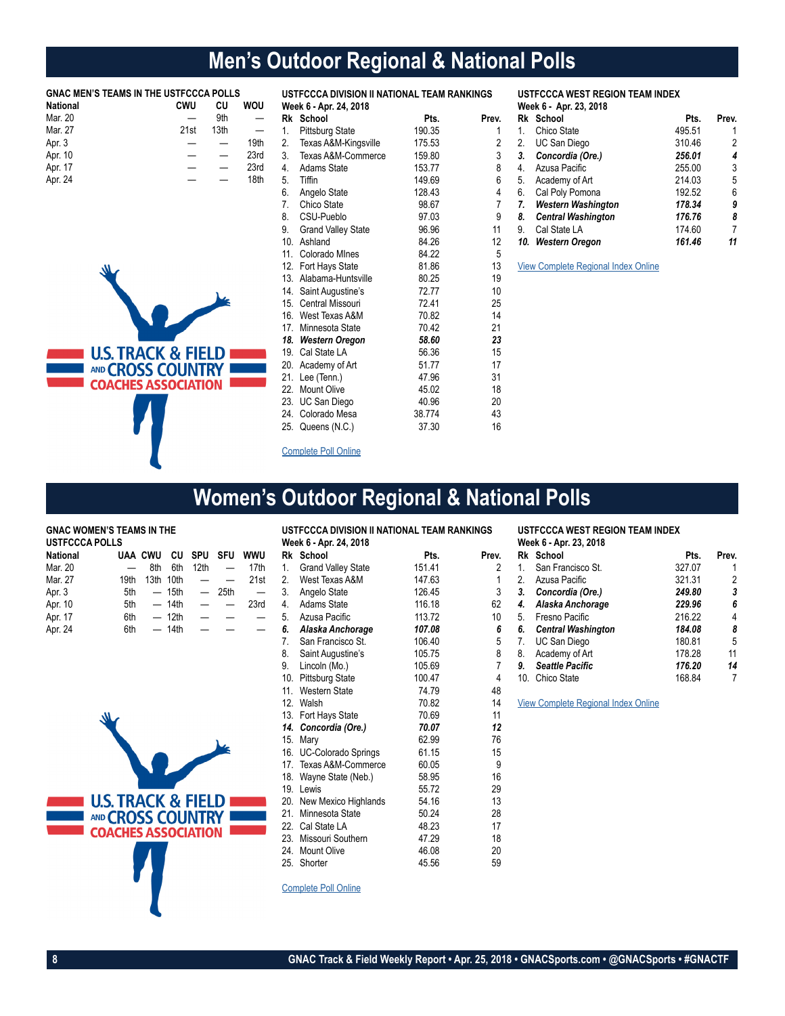# **Men's Outdoor Regional & National Polls**

| <b>GNAC MEN'S TEAMS IN THE USTFCCCA POLLS</b><br><b>National</b> | <b>CWU</b>               | CU   | <b>WOU</b>               |                 | USTFCCCA DIVISION II NATIONAL TEAM RANKINGS<br>Week 6 - Apr. 24, 2018 |        |                |     | <b>USTFCCCA WEST REGION TEAM INDEX</b><br>Week 6 - Apr. 23, 2018 |        |       |
|------------------------------------------------------------------|--------------------------|------|--------------------------|-----------------|-----------------------------------------------------------------------|--------|----------------|-----|------------------------------------------------------------------|--------|-------|
| Mar. 20                                                          | $\overline{\phantom{0}}$ | 9th  | —                        |                 | Rk School                                                             | Pts.   | Prev.          |     | Rk School                                                        | Pts.   | Prev. |
| Mar. 27                                                          | 21st                     | 13th | $\overline{\phantom{0}}$ |                 | <b>Pittsburg State</b>                                                | 190.35 |                |     | Chico State                                                      | 495.51 |       |
| Apr. 3                                                           |                          | —    | 19th                     | 2.              | Texas A&M-Kingsville                                                  | 175.53 | 2              | 2.  | UC San Diego                                                     | 310.46 | 2     |
| Apr. 10                                                          |                          | —    | 23rd                     | 3.              | Texas A&M-Commerce                                                    | 159.80 | 3              | 3.  | Concordia (Ore.)                                                 | 256.01 |       |
| Apr. 17                                                          |                          |      | 23rd                     | 4.              | Adams State                                                           | 153.77 | 8              | 4.  | Azusa Pacific                                                    | 255.00 | 3     |
| Apr. 24                                                          |                          |      | 18th                     | 5.              | <b>Tiffin</b>                                                         | 149.69 | 6              | 5.  | Academy of Art                                                   | 214.03 | 5     |
|                                                                  |                          |      |                          | 6.              | Angelo State                                                          | 128.43 | 4              | 6.  | Cal Poly Pomona                                                  | 192.52 | 6     |
|                                                                  |                          |      |                          |                 | Chico State                                                           | 98.67  | $\overline{7}$ |     | Western Washington                                               | 178.34 | g     |
|                                                                  |                          |      |                          | 8.              | CSU-Pueblo                                                            | 97.03  | 9              | 8.  | <b>Central Washington</b>                                        | 176.76 | 8     |
|                                                                  |                          |      |                          | 9               | <b>Grand Valley State</b>                                             | 96.96  | 11             | 9.  | Cal State LA                                                     | 174.60 | 7     |
|                                                                  |                          |      |                          | 10.             | Ashland                                                               | 84.26  | 12             | 10. | <b>Western Oregon</b>                                            | 161.46 | 11    |
|                                                                  |                          |      |                          | 11.             | Colorado Mines                                                        | 84.22  | 5              |     |                                                                  |        |       |
|                                                                  |                          |      |                          | 12.             | Fort Hays State                                                       | 81.86  | 13             |     | View Complete Regional Index Online                              |        |       |
|                                                                  |                          |      |                          | 13.             | Alabama-Huntsville                                                    | 80.25  | 19             |     |                                                                  |        |       |
|                                                                  |                          |      |                          | 14.             | Saint Augustine's                                                     | 72.77  | 10             |     |                                                                  |        |       |
|                                                                  |                          |      |                          | 15.             | Central Missouri                                                      | 72.41  | 25             |     |                                                                  |        |       |
|                                                                  |                          |      |                          | 16.             | West Texas A&M                                                        | 70.82  | 14             |     |                                                                  |        |       |
|                                                                  |                          |      |                          | 17 <sub>1</sub> | Minnesota State                                                       | 70.42  | 21             |     |                                                                  |        |       |
|                                                                  |                          |      |                          | 18.             | <b>Western Oregon</b>                                                 | 58.60  | 23             |     |                                                                  |        |       |
| <b>U.S. TRACK &amp; FIELD</b>                                    |                          |      |                          | 19.             | Cal State LA                                                          | 56.36  | 15             |     |                                                                  |        |       |
| AND CROSS COUNTRY                                                |                          |      |                          |                 | 20. Academy of Art                                                    | 51.77  | 17             |     |                                                                  |        |       |
|                                                                  |                          |      |                          | 21.             | Lee (Tenn.)                                                           | 47.96  | 31             |     |                                                                  |        |       |
| <b>COACHES ASSOCIATION</b>                                       |                          |      |                          | 22.             | <b>Mount Olive</b>                                                    | 45.02  | 18             |     |                                                                  |        |       |
|                                                                  |                          |      |                          | 23.             | <b>UC San Diego</b>                                                   | 40.96  | 20             |     |                                                                  |        |       |
|                                                                  |                          |      |                          | 24.             | Colorado Mesa                                                         | 38.774 | 43             |     |                                                                  |        |       |
|                                                                  |                          |      |                          | 25.             | Queens (N.C.)                                                         | 37.30  | 16             |     |                                                                  |        |       |
|                                                                  |                          |      |                          |                 | <b>Complete Poll Online</b>                                           |        |                |     |                                                                  |        |       |

# **Women's Outdoor Regional & National Polls**

#### **GNAC WOMEN'S TEAMS IN THE USTFCCCA POLLS**

| <u>9911 9998 1 9669</u> |      |                |         |                          |                          |          |  |
|-------------------------|------|----------------|---------|--------------------------|--------------------------|----------|--|
| National                |      | <b>UAA CWU</b> |         | CU SPU                   | <b>SFU</b>               | wwu      |  |
| Mar. 20                 |      | 8th            | 6th     | 12th                     | $\overline{\phantom{0}}$ | 17th     |  |
| Mar. 27                 | 19th |                |         | $13th$ 10th $ -$         |                          | 21st     |  |
| Apr. 3                  | 5th  |                |         | — 15th —                 | 25th                     | $\equiv$ |  |
| Apr. 10                 |      | $5th$ - 14th   |         |                          | $\sim$ $-$               | 23rd     |  |
| Apr. 17                 | 6th  |                | $-12th$ | $\overline{\phantom{0}}$ |                          |          |  |
| Apr. 24                 | 6th  |                | — 14th  |                          |                          |          |  |



| Rk School                | Pts.                                                | Prev.                                       |
|--------------------------|-----------------------------------------------------|---------------------------------------------|
| 1.                       | 151.41                                              | 2                                           |
| 2. West Texas A&M        | 147.63                                              | 1                                           |
| 3.<br>Angelo State       | 126.45                                              | 3                                           |
| 4.<br>Adams State        | 116.18                                              | 62                                          |
| 5. Azusa Pacific         | 113.72                                              | 10                                          |
| 6. Alaska Anchorage      | 107.08                                              | 6                                           |
| 7.<br>San Francisco St.  | 106.40                                              | 5                                           |
| 8.<br>Saint Augustine's  | 105.75                                              | 8                                           |
| 9. Lincoln (Mo.)         | 105.69                                              | $\overline{7}$                              |
| 10. Pittsburg State      | 100.47                                              | $\overline{4}$                              |
| 11. Western State        | 74.79                                               | 48                                          |
| 12. Walsh                | 70.82                                               | 14                                          |
| 13. Fort Hays State      | 70.69                                               | 11                                          |
| 14. Concordia (Ore.)     | 70.07                                               | 12                                          |
| 15. Mary                 | 62.99                                               | 76                                          |
| 16. UC-Colorado Springs  | 61.15                                               | 15                                          |
| 17. Texas A&M-Commerce   | 60.05                                               | 9                                           |
| 18. Wayne State (Neb.)   | 58.95                                               | 16                                          |
| 19. Lewis                | 55.72                                               | 29                                          |
| 20. New Mexico Highlands | 54.16                                               | 13                                          |
| 21. Minnesota State      | 50.24                                               | 28                                          |
| 22. Cal State LA         | 48.23                                               | 17                                          |
| 23. Missouri Southern    | 47.29                                               | 18                                          |
| 24. Mount Olive          | 46.08                                               | 20                                          |
| 25. Shorter              | 45.56                                               | 59                                          |
|                          | Week 6 - Apr. 24, 2018<br><b>Grand Valley State</b> | USTFCCCA DIVISION II NATIONAL TEAM RANKINGS |

#### **USTFCCCA WEST REGION TEAM INDEX Week 6 - Apr. 23, 2018**

| ı. |    | Rk School                 | Pts.   | Prev. |
|----|----|---------------------------|--------|-------|
| 2  | 1. | San Francisco St.         | 327.07 |       |
| 1  | 2. | Azusa Pacific             | 321.31 | 2     |
| 3  | 3. | Concordia (Ore.)          | 249.80 | 3     |
| 2  | 4. | Alaska Anchorage          | 229.96 | 6     |
| 0  | 5. | Fresno Pacific            | 216.22 | 4     |
| 6  | 6. | <b>Central Washington</b> | 184.08 | 8     |
| 5  | 7. | UC San Diego              | 180.81 | 5     |
| 8  | 8. | Academy of Art            | 178.28 | 11    |
| 7  | 9. | <b>Seattle Pacific</b>    | 176.20 | 14    |
| 4  |    | 10. Chico State           | 168.84 |       |
|    |    |                           |        |       |

[View Complete R](http://www.ustfccca.org/team-rankings-polls-central/division-ii-rankings)egional Index Online

[Complete Poll Online](http://www.ustfccca.org/team-rankings-polls-central/division-ii-rankings)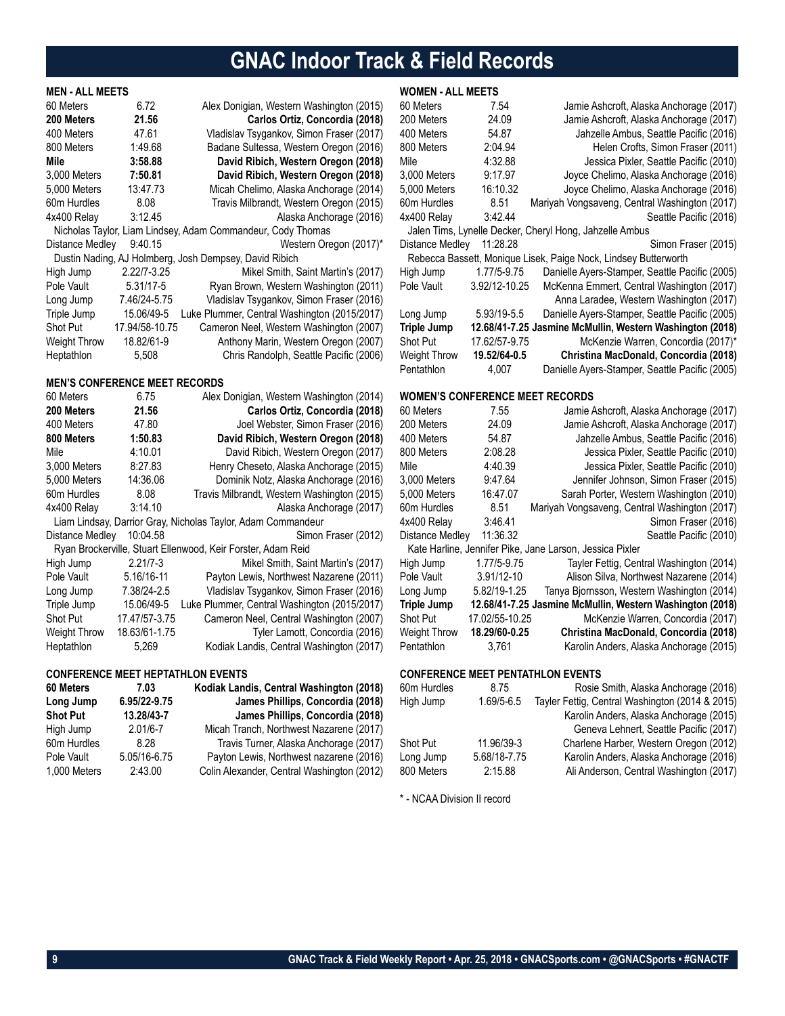# **GNAC Indoor Track & Field Records**

# **MEN - ALL MEETS**

| 60 Meters           | 6.72            | Alex Donigian, Western Washington (2015)                    |
|---------------------|-----------------|-------------------------------------------------------------|
| 200 Meters          | 21.56           | Carlos Ortiz, Concordia (2018)                              |
| 400 Meters          | 47.61           | Vladislav Tsygankov, Simon Fraser (2017)                    |
| 800 Meters          | 1:49.68         | Badane Sultessa, Western Oregon (2016)                      |
| Mile                | 3:58.88         | David Ribich, Western Oregon (2018)                         |
| 3,000 Meters        | 7:50.81         | David Ribich, Western Oregon (2018)                         |
| 5,000 Meters        | 13:47.73        | Micah Chelimo, Alaska Anchorage (2014)                      |
| 60m Hurdles         | 8.08            | Travis Milbrandt, Western Oregon (2015)                     |
| 4x400 Relay         | 3:12.45         | Alaska Anchorage (2016)                                     |
|                     |                 | Nicholas Taylor, Liam Lindsey, Adam Commandeur, Cody Thomas |
| Distance Medley     | 9:40.15         | Western Oregon (2017)*                                      |
|                     |                 | Dustin Nading, AJ Holmberg, Josh Dempsey, David Ribich      |
| High Jump           | $2.22/7 - 3.25$ | Mikel Smith, Saint Martin's (2017)                          |
| Pole Vault          | 5.31/17-5       | Ryan Brown, Western Washington (2011)                       |
| Long Jump           | 7.46/24-5.75    | Vladislav Tsygankov, Simon Fraser (2016)                    |
| Triple Jump         | 15.06/49-5      | Luke Plummer, Central Washington (2015/2017)                |
| <b>Shot Put</b>     | 17.94/58-10.75  | Cameron Neel, Western Washington (2007)                     |
| <b>Weight Throw</b> | 18.82/61-9      | Anthony Marin, Western Oregon (2007)                        |
| Heptathlon          | 5,508           | Chris Randolph, Seattle Pacific (2006)                      |
|                     |                 |                                                             |

### **MEN'S CONFERENCE MEET RECORDS**

| 60 Meters           | 6.75          | Alex Donigian, Western Washington (2014)                     |
|---------------------|---------------|--------------------------------------------------------------|
| 200 Meters          | 21.56         | Carlos Ortiz, Concordia (2018)                               |
| 400 Meters          | 47.80         | Joel Webster, Simon Fraser (2016)                            |
| 800 Meters          | 1:50.83       | David Ribich, Western Oregon (2018)                          |
| Mile                | 4:10.01       | David Ribich, Western Oregon (2017)                          |
| 3,000 Meters        | 8:27.83       | Henry Cheseto, Alaska Anchorage (2015)                       |
| 5,000 Meters        | 14:36.06      | Dominik Notz, Alaska Anchorage (2016)                        |
| 60m Hurdles         | 8.08          | Travis Milbrandt, Western Washington (2015)                  |
| 4x400 Relay         | 3:14.10       | Alaska Anchorage (2017)                                      |
|                     |               | Liam Lindsay, Darrior Gray, Nicholas Taylor, Adam Commandeur |
| Distance Medley     | 10:04.58      | Simon Fraser (2012)                                          |
|                     |               | Ryan Brockerville, Stuart Ellenwood, Keir Forster, Adam Reid |
| High Jump           | $2.21/7 - 3$  | Mikel Smith, Saint Martin's (2017)                           |
| Pole Vault          | 5.16/16-11    | Payton Lewis, Northwest Nazarene (2011)                      |
| Long Jump           | 7.38/24-2.5   | Vladislav Tsygankov, Simon Fraser (2016)                     |
| Triple Jump         | 15.06/49-5    | Luke Plummer, Central Washington (2015/2017)                 |
| <b>Shot Put</b>     | 17.47/57-3.75 | Cameron Neel, Central Washington (2007)                      |
| <b>Weight Throw</b> | 18.63/61-1.75 | Tyler Lamott, Concordia (2016)                               |
| Heptathlon          | 5,269         | Kodiak Landis, Central Washington (2017)                     |

### **CONFERENCE MEET HEPTATHLON EVENTS**

| 60 Meters       | 7.03         | Kodiak Landis, Central Washington (2018)   |
|-----------------|--------------|--------------------------------------------|
| Long Jump       | 6.95/22-9.75 | James Phillips, Concordia (2018)           |
| <b>Shot Put</b> | 13.28/43-7   | James Phillips, Concordia (2018)           |
| High Jump       | $2.01/6 - 7$ | Micah Tranch, Northwest Nazarene (2017)    |
| 60m Hurdles     | 8.28         | Travis Turner, Alaska Anchorage (2017)     |
| Pole Vault      | 5.05/16-6.75 | Payton Lewis, Northwest nazarene (2016)    |
| 1.000 Meters    | 2:43.00      | Colin Alexander, Central Washington (2012) |

# **WOMEN - ALL MEETS**

| 60 Meters          | 7.54                                   | Jamie Ashcroft, Alaska Anchorage (2017)                         |
|--------------------|----------------------------------------|-----------------------------------------------------------------|
| 200 Meters         | 24.09                                  | Jamie Ashcroft, Alaska Anchorage (2017)                         |
| 400 Meters         | 54.87                                  | Jahzelle Ambus, Seattle Pacific (2016)                          |
| 800 Meters         | 2:04.94                                | Helen Crofts, Simon Fraser (2011)                               |
| Mile               | 4:32.88                                | Jessica Pixler, Seattle Pacific (2010)                          |
| 3,000 Meters       | 9:17.97                                | Joyce Chelimo, Alaska Anchorage (2016)                          |
| 5,000 Meters       | 16:10.32                               | Joyce Chelimo, Alaska Anchorage (2016)                          |
| 60m Hurdles        | 8.51                                   | Mariyah Vongsaveng, Central Washington (2017)                   |
| 4x400 Relay        | 3:42.44                                | Seattle Pacific (2016)                                          |
|                    |                                        | Jalen Tims, Lynelle Decker, Cheryl Hong, Jahzelle Ambus         |
| Distance Medley    | 11:28.28                               | Simon Fraser (2015)                                             |
|                    |                                        | Rebecca Bassett, Monique Lisek, Paige Nock, Lindsey Butterworth |
| High Jump          | 1.77/5-9.75                            | Danielle Ayers-Stamper, Seattle Pacific (2005)                  |
| Pole Vault         | 3.92/12-10.25                          | McKenna Emmert, Central Washington (2017)                       |
|                    |                                        | Anna Laradee, Western Washington (2017)                         |
| Long Jump          | 5.93/19-5.5                            | Danielle Ayers-Stamper, Seattle Pacific (2005)                  |
| <b>Triple Jump</b> |                                        | 12.68/41-7.25 Jasmine McMullin, Western Washington (2018)       |
| Shot Put           | 17.62/57-9.75                          | McKenzie Warren, Concordia (2017)*                              |
| Weight Throw       | 19.52/64-0.5                           | Christina MacDonald, Concordia (2018)                           |
| Pentathlon         | 4,007                                  | Danielle Ayers-Stamper, Seattle Pacific (2005)                  |
|                    |                                        |                                                                 |
|                    | <b>WOMEN'S CONFERENCE MEET RECORDS</b> |                                                                 |
| 60 Meters          | 7.55                                   | Jamie Ashcroft, Alaska Anchorage (2017)                         |
| 200 Meters         | 24.09                                  | Jamie Ashcroft, Alaska Anchorage (2017)                         |
| 400 Meters         | 54.87                                  | Jahzelle Ambus, Seattle Pacific (2016)                          |
|                    |                                        |                                                                 |

| 200 Meters      | 24.09          | Jamie Ashcroft, Alaska Anchorage (2017)                   |
|-----------------|----------------|-----------------------------------------------------------|
| 400 Meters      | 54.87          | Jahzelle Ambus, Seattle Pacific (2016)                    |
| 800 Meters      | 2:08.28        | Jessica Pixler, Seattle Pacific (2010)                    |
| Mile            | 4:40.39        | Jessica Pixler, Seattle Pacific (2010)                    |
| 3.000 Meters    | 9:47.64        | Jennifer Johnson, Simon Fraser (2015)                     |
| 5.000 Meters    | 16:47.07       | Sarah Porter, Western Washington (2010)                   |
| 60m Hurdles     | 8.51           | Mariyah Vongsaveng, Central Washington (2017)             |
| 4x400 Relay     | 3:46.41        | Simon Fraser (2016)                                       |
| Distance Medley | 11:36.32       | Seattle Pacific (2010)                                    |
|                 |                | Kate Harline, Jennifer Pike, Jane Larson, Jessica Pixler  |
| High Jump       | 1.77/5-9.75    | Tayler Fettig, Central Washington (2014)                  |
| Pole Vault      | 3.91/12-10     | Alison Silva, Northwest Nazarene (2014)                   |
| Long Jump       | 5.82/19-1.25   | Tanya Biornsson, Western Washington (2014)                |
| Triple Jump     |                | 12.68/41-7.25 Jasmine McMullin, Western Washington (2018) |
| Shot Put        | 17.02/55-10.25 | McKenzie Warren, Concordia (2017)                         |
| Weight Throw    | 18.29/60-0.25  | Christina MacDonald, Concordia (2018)                     |
| Pentathlon      | 3.761          | Karolin Anders, Alaska Anchorage (2015)                   |

# **CONFERENCE MEET PENTATHLON EVENTS**

| 60m Hurdles     | 8.75           | Rosie Smith, Alaska Anchorage (2016)            |
|-----------------|----------------|-------------------------------------------------|
| High Jump       | $1.69/5 - 6.5$ | Tayler Fettig, Central Washington (2014 & 2015) |
|                 |                | Karolin Anders, Alaska Anchorage (2015)         |
|                 |                | Geneva Lehnert, Seattle Pacific (2017)          |
| <b>Shot Put</b> | 11.96/39-3     | Charlene Harber, Western Oregon (2012)          |
| Long Jump       | 5.68/18-7.75   | Karolin Anders, Alaska Anchorage (2016)         |
| 800 Meters      | 2:15.88        | Ali Anderson, Central Washington (2017)         |
|                 |                |                                                 |

\* - NCAA Division II record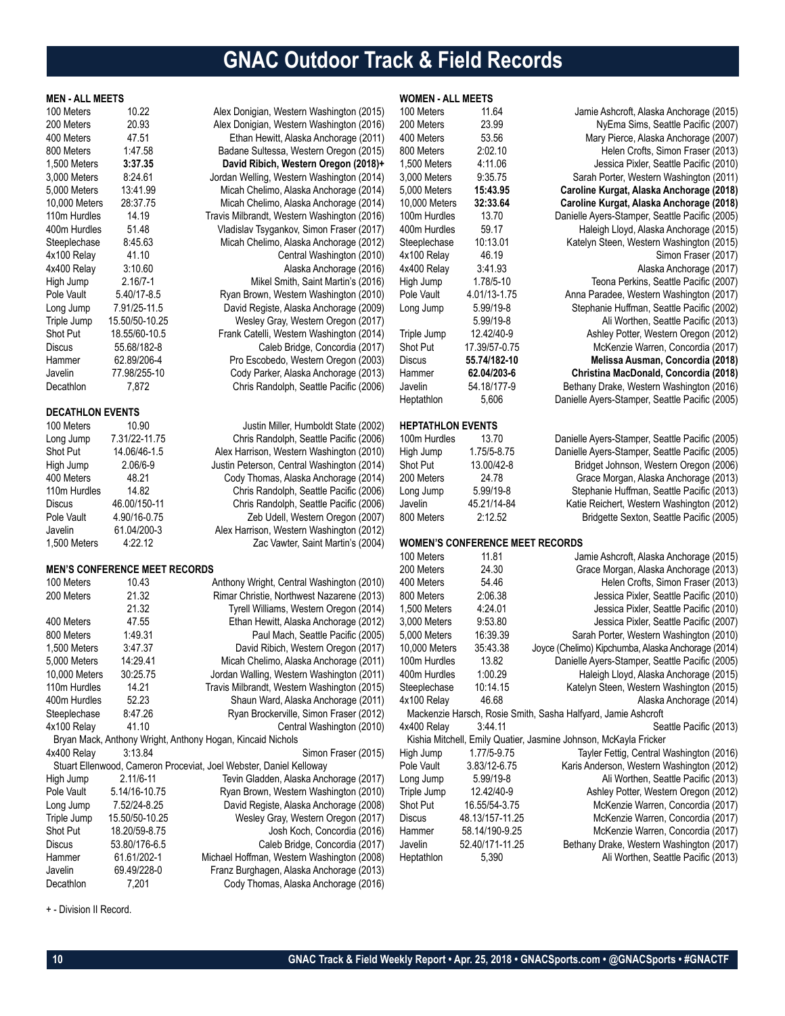# **GNAC Outdoor Track & Field Records**

**WOMEN - ALL MEETS**

|  | <b>MEN - ALL MEETS</b> |  |
|--|------------------------|--|

| 100 Meters              | 10.22                                | Alex Donigian, Western Washington (2015)                           |  |
|-------------------------|--------------------------------------|--------------------------------------------------------------------|--|
| 200 Meters              | 20.93                                | Alex Donigian, Western Washington (2016)                           |  |
| 400 Meters              | 47.51                                | Ethan Hewitt, Alaska Anchorage (2011)                              |  |
| 800 Meters              | 1:47.58                              | Badane Sultessa, Western Oregon (2015)                             |  |
| 1,500 Meters            | 3:37.35                              | David Ribich, Western Oregon (2018)+                               |  |
| 3,000 Meters            | 8:24.61                              | Jordan Welling, Western Washington (2014)                          |  |
| 5,000 Meters            | 13:41.99                             | Micah Chelimo, Alaska Anchorage (2014)                             |  |
| 10,000 Meters           | 28:37.75                             | Micah Chelimo, Alaska Anchorage (2014)                             |  |
| 110m Hurdles            | 14.19                                | Travis Milbrandt, Western Washington (2016)                        |  |
| 400m Hurdles            | 51.48                                | Vladislav Tsygankov, Simon Fraser (2017)                           |  |
| Steeplechase            | 8:45.63                              | Micah Chelimo, Alaska Anchorage (2012)                             |  |
| 4x100 Relay             | 41.10                                | Central Washington (2010)                                          |  |
| 4x400 Relay             | 3:10.60                              | Alaska Anchorage (2016)                                            |  |
| High Jump               | $2.16/7 - 1$                         | Mikel Smith, Saint Martin's (2016)                                 |  |
| Pole Vault              | 5.40/17-8.5                          | Ryan Brown, Western Washington (2010)                              |  |
| Long Jump               | 7.91/25-11.5                         | David Registe, Alaska Anchorage (2009)                             |  |
| Triple Jump             | 15.50/50-10.25                       | Wesley Gray, Western Oregon (2017)                                 |  |
| Shot Put                | 18.55/60-10.5                        | Frank Catelli, Western Washington (2014)                           |  |
| <b>Discus</b>           | 55.68/182-8                          | Caleb Bridge, Concordia (2017)                                     |  |
| Hammer                  | 62.89/206-4                          | Pro Escobedo, Western Oregon (2003)                                |  |
| Javelin                 | 77.98/255-10                         | Cody Parker, Alaska Anchorage (2013)                               |  |
| Decathlon               | 7,872                                | Chris Randolph, Seattle Pacific (2006)                             |  |
|                         |                                      |                                                                    |  |
| <b>DECATHLON EVENTS</b> |                                      |                                                                    |  |
| 100 Meters              | 10.90                                | Justin Miller, Humboldt State (2002)                               |  |
| Long Jump               | 7.31/22-11.75                        | Chris Randolph, Seattle Pacific (2006)                             |  |
| Shot Put                | 14.06/46-1.5                         | Alex Harrison, Western Washington (2010)                           |  |
| High Jump               | 2.06/6-9                             | Justin Peterson, Central Washington (2014)                         |  |
| 400 Meters              | 48.21                                | Cody Thomas, Alaska Anchorage (2014)                               |  |
| 110m Hurdles            | 14.82                                | Chris Randolph, Seattle Pacific (2006)                             |  |
| Discus                  | 46.00/150-11                         | Chris Randolph, Seattle Pacific (2006)                             |  |
| Pole Vault              | 4.90/16-0.75                         | Zeb Udell, Western Oregon (2007)                                   |  |
| Javelin                 | 61.04/200-3                          | Alex Harrison, Western Washington (2012)                           |  |
| 1,500 Meters            | 4:22.12                              | Zac Vawter, Saint Martin's (2004)                                  |  |
|                         |                                      |                                                                    |  |
|                         | <b>MEN'S CONFERENCE MEET RECORDS</b> |                                                                    |  |
| 100 Meters              | 10.43                                | Anthony Wright, Central Washington (2010)                          |  |
| 200 Meters              | 21.32                                | Rimar Christie, Northwest Nazarene (2013)                          |  |
|                         | 21.32                                | Tyrell Williams, Western Oregon (2014)                             |  |
| 400 Meters              | 47.55                                | Ethan Hewitt, Alaska Anchorage (2012)                              |  |
| 800 Meters              | 1:49.31                              | Paul Mach, Seattle Pacific (2005)                                  |  |
| 1,500 Meters            | 3:47.37                              | David Ribich, Western Oregon (2017)                                |  |
| 5,000 Meters            | 14:29.41                             | Micah Chelimo, Alaska Anchorage (2011)                             |  |
| 10,000 Meters           | 30:25.75                             | Jordan Walling, Western Washington (2011)                          |  |
| 110m Hurdles            | 14.21                                | Travis Milbrandt, Western Washington (2015)                        |  |
| 400m Hurdles            | 52.23                                | Shaun Ward, Alaska Anchorage (2011)                                |  |
| Steeplechase            | 8:47.26                              | Ryan Brockerville, Simon Fraser (2012)                             |  |
| 4x100 Relay             | 41.10                                | Central Washington (2010)                                          |  |
|                         |                                      | Bryan Mack, Anthony Wright, Anthony Hogan, Kincaid Nichols         |  |
| 4x400 Relay             | 3:13.84                              | Simon Fraser (2015)                                                |  |
|                         |                                      | Stuart Ellenwood, Cameron Proceviat, Joel Webster, Daniel Kelloway |  |
| High Jump               | 2.11/6-11                            | Tevin Gladden, Alaska Anchorage (2017)                             |  |
| Pole Vault              | 5.14/16-10.75                        | Ryan Brown, Western Washington (2010)                              |  |
| Long Jump               | 7.52/24-8.25                         | David Registe, Alaska Anchorage (2008)                             |  |
| Triple Jump             | 15.50/50-10.25                       | Wesley Gray, Western Oregon (2017)                                 |  |
| Shot Put                | 18.20/59-8.75                        | Josh Koch, Concordia (2016)                                        |  |
| <b>Discus</b>           | 53.80/176-6.5                        | Caleb Bridge, Concordia (2017)                                     |  |
| Hammer                  | 61.61/202-1                          | Michael Hoffman, Western Washington (2008)                         |  |

Javelin 69.49/228-0 Franz Burghagen, Alaska Anchorage (2013) Decathlon 7,201 Cody Thomas, Alaska Anchorage (2016)

Washington (2015) Washington (2016) a Anchorage (2011) tern Oregon (2015) 1,500 Meters **3:37.35 David Ribich, Western Oregon (2018)+** Washington (2014) Anchorage (2014). Anchorage (2014) Washington (2016) imon Fraser (2017) Anchorage (2012) Washington (2010) Anchorage (2016) aint Martin's (2016) Washington (2010) Anchorage (2009) tern Oregon (2017) Washington (2014) e, Concordia (2017) tern Oregon (2003) Anchorage (2013) eattle Pacific (2006) nboldt State (2002) eattle Pacific (2006) Washington (2010) Washington (2014) Anchorage (2014) eattle Pacific (2006) eattle Pacific (2006) tern Oregon (2007) Washington (2012) aint Martin's (2004) Washington (2010) st Nazarene (2013) tern Oregon (2014) Anchorage (2012) eattle Pacific (2005) tern Oregon (2017) a Anchorage (2011) Washington (2011) Washington (2015) a Anchorage (2011) imon Fraser (2012) 100 Meters 11.64 Jamie Ashcroft, Alaska Anchorage (2015) 200 Meters 23.99 NyEma Sims, Seattle Pacific (2007) 400 Meters 53.56 Mary Pierce, Alaska Anchorage (2007) 800 Meters 2:02.10 Helen Crofts, Simon Fraser (2013) 3,000 Meters 9:35.75 Sarah Porter, Western Washington (2011) 5,000 Meters **15:43.95 Caroline Kurgat, Alaska Anchorage (2018) HEP** 

| 10,000 Meters            | 32:33.64                        | Caroline Kurgat, Alaska Anchorage (2018)                         |  |
|--------------------------|---------------------------------|------------------------------------------------------------------|--|
| 100m Hurdles             | 13.70                           | Danielle Ayers-Stamper, Seattle Pacific (2005)                   |  |
| 400m Hurdles             | 59.17                           | Haleigh Lloyd, Alaska Anchorage (2015)                           |  |
| Steeplechase             | 10:13.01                        | Katelyn Steen, Western Washington (2015)                         |  |
| 4x100 Relay              | 46.19                           | Simon Fraser (2017)                                              |  |
| 4x400 Relay              | 3:41.93                         | Alaska Anchorage (2017)                                          |  |
| High Jump                | 1.78/5-10                       | Teona Perkins, Seattle Pacific (2007)                            |  |
| Pole Vault               | 4.01/13-1.75                    | Anna Paradee, Western Washington (2017)                          |  |
| Long Jump                | 5.99/19-8                       | Stephanie Huffman, Seattle Pacific (2002)                        |  |
|                          | 5.99/19-8                       | Ali Worthen, Seattle Pacific (2013)                              |  |
| Triple Jump              | 12.42/40-9                      | Ashley Potter, Western Oregon (2012)                             |  |
| Shot Put                 | 17.39/57-0.75                   | McKenzie Warren, Concordia (2017)                                |  |
| Discus                   | 55.74/182-10                    | Melissa Ausman, Concordia (2018)                                 |  |
| Hammer                   | 62.04/203-6                     | Christina MacDonald, Concordia (2018)                            |  |
| Javelin                  | 54.18/177-9                     | Bethany Drake, Western Washington (2016)                         |  |
| Heptathlon               | 5,606                           | Danielle Ayers-Stamper, Seattle Pacific (2005)                   |  |
|                          |                                 |                                                                  |  |
| <b>HEPTATHLON EVENTS</b> |                                 |                                                                  |  |
| 100m Hurdles             | 13.70                           | Danielle Ayers-Stamper, Seattle Pacific (2005)                   |  |
| High Jump                | 1.75/5-8.75                     | Danielle Ayers-Stamper, Seattle Pacific (2005)                   |  |
| <b>Shot Put</b>          | 13.00/42-8                      | Bridget Johnson, Western Oregon (2006)                           |  |
| 200 Meters               | 24.78                           | Grace Morgan, Alaska Anchorage (2013)                            |  |
| Long Jump                | 5.99/19-8                       | Stephanie Huffman, Seattle Pacific (2013)                        |  |
| Javelin                  | 45.21/14-84                     | Katie Reichert, Western Washington (2012)                        |  |
| 800 Meters               | 2:12.52                         | Bridgette Sexton, Seattle Pacific (2005)                         |  |
|                          |                                 |                                                                  |  |
|                          | WOMEN'S CONFERENCE MEET RECORDS |                                                                  |  |
| 100 Meters               | 11.81                           | Jamie Ashcroft, Alaska Anchorage (2015)                          |  |
| 200 Meters               | 24.30                           | Grace Morgan, Alaska Anchorage (2013)                            |  |
| 400 Meters               | 54.46                           | Helen Crofts, Simon Fraser (2013)                                |  |
| 800 Meters               | 2:06.38                         | Jessica Pixler, Seattle Pacific (2010)                           |  |
| 1,500 Meters             | 4:24.01                         | Jessica Pixler, Seattle Pacific (2010)                           |  |
| 3,000 Meters             | 9:53.80                         | Jessica Pixler, Seattle Pacific (2007)                           |  |
| 5,000 Meters             | 16:39.39                        | Sarah Porter, Western Washington (2010)                          |  |
| 10,000 Meters            | 35:43.38                        | Joyce (Chelimo) Kipchumba, Alaska Anchorage (2014)               |  |
| 100m Hurdles             | 13.82                           | Danielle Ayers-Stamper, Seattle Pacific (2005)                   |  |
| 400m Hurdles             | 1:00.29                         | Haleigh Lloyd, Alaska Anchorage (2015)                           |  |
| Steeplechase             | 10:14.15                        | Katelyn Steen, Western Washington (2015)                         |  |
| 4x100 Relay              | 46.68                           | Alaska Anchorage (2014)                                          |  |
|                          |                                 | Mackenzie Harsch, Rosie Smith, Sasha Halfyard, Jamie Ashcroft    |  |
| 4x400 Relay              | 3:44.11                         | Seattle Pacific (2013)                                           |  |
|                          |                                 | Kishia Mitchell, Emily Quatier, Jasmine Johnson, McKayla Fricker |  |
| High Jump                | 1.77/5-9.75                     | Tayler Fettig, Central Washington (2016)                         |  |
| Pole Vault               | 3.83/12-6.75                    | Karis Anderson, Western Washington (2012)                        |  |
| Long Jump                | 5.99/19-8                       | Ali Worthen, Seattle Pacific (2013)                              |  |
| Triple Jump              | 12.42/40-9                      | Ashley Potter, Western Oregon (2012)                             |  |
| Shot Put                 | 16.55/54-3.75                   | McKenzie Warren, Concordia (2017)                                |  |
| Discus                   | 48.13/157-11.25                 | McKenzie Warren, Concordia (2017)                                |  |
| Hammer                   | 58.14/190-9.25                  | McKenzie Warren, Concordia (2017)                                |  |
|                          |                                 |                                                                  |  |

Javelin 52.40/171-11.25 Bethany Drake, Western Washington (2017) Heptathlon 5,390 Ali Worthen, Seattle Pacific (2013)

Jessica Pixler, Seattle Pacific (2010)

+ - Division II Record.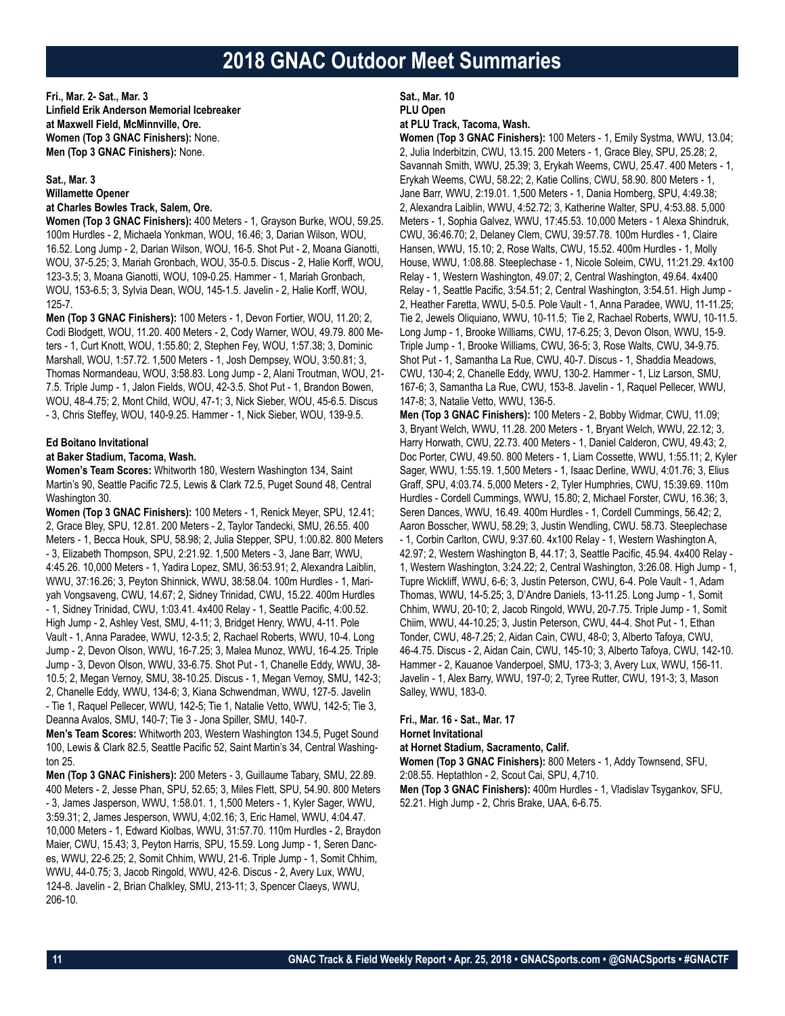**Fri., Mar. 2- Sat., Mar. 3 Linfield Erik Anderson Memorial Icebreaker at Maxwell Field, McMinnville, Ore. Women (Top 3 GNAC Finishers):** None. **Men (Top 3 GNAC Finishers):** None.

# **Sat., Mar. 3 Willamette Opener**

# **at Charles Bowles Track, Salem, Ore.**

**Women (Top 3 GNAC Finishers):** 400 Meters - 1, Grayson Burke, WOU, 59.25. 100m Hurdles - 2, Michaela Yonkman, WOU, 16.46; 3, Darian Wilson, WOU, 16.52. Long Jump - 2, Darian Wilson, WOU, 16-5. Shot Put - 2, Moana Gianotti, WOU, 37-5.25; 3, Mariah Gronbach, WOU, 35-0.5. Discus - 2, Halie Korff, WOU, 123-3.5; 3, Moana Gianotti, WOU, 109-0.25. Hammer - 1, Mariah Gronbach, WOU, 153-6.5; 3, Sylvia Dean, WOU, 145-1.5. Javelin - 2, Halie Korff, WOU, 125-7.

**Men (Top 3 GNAC Finishers):** 100 Meters - 1, Devon Fortier, WOU, 11.20; 2, Codi Blodgett, WOU, 11.20. 400 Meters - 2, Cody Warner, WOU, 49.79. 800 Meters - 1, Curt Knott, WOU, 1:55.80; 2, Stephen Fey, WOU, 1:57.38; 3, Dominic Marshall, WOU, 1:57.72. 1,500 Meters - 1, Josh Dempsey, WOU, 3:50.81; 3, Thomas Normandeau, WOU, 3:58.83. Long Jump - 2, Alani Troutman, WOU, 21- 7.5. Triple Jump - 1, Jalon Fields, WOU, 42-3.5. Shot Put - 1, Brandon Bowen, WOU, 48-4.75; 2, Mont Child, WOU, 47-1; 3, Nick Sieber, WOU, 45-6.5. Discus - 3, Chris Steffey, WOU, 140-9.25. Hammer - 1, Nick Sieber, WOU, 139-9.5.

#### **Ed Boitano Invitational**

### **at Baker Stadium, Tacoma, Wash.**

**Women's Team Scores:** Whitworth 180, Western Washington 134, Saint Martin's 90, Seattle Pacific 72.5, Lewis & Clark 72.5, Puget Sound 48, Central Washington 30.

**Women (Top 3 GNAC Finishers):** 100 Meters - 1, Renick Meyer, SPU, 12.41; 2, Grace Bley, SPU, 12.81. 200 Meters - 2, Taylor Tandecki, SMU, 26.55. 400 Meters - 1, Becca Houk, SPU, 58.98; 2, Julia Stepper, SPU, 1:00.82. 800 Meters - 3, Elizabeth Thompson, SPU, 2:21.92. 1,500 Meters - 3, Jane Barr, WWU, 4:45.26. 10,000 Meters - 1, Yadira Lopez, SMU, 36:53.91; 2, Alexandra Laiblin, WWU, 37:16.26; 3, Peyton Shinnick, WWU, 38:58.04. 100m Hurdles - 1, Mariyah Vongsaveng, CWU, 14.67; 2, Sidney Trinidad, CWU, 15.22. 400m Hurdles - 1, Sidney Trinidad, CWU, 1:03.41. 4x400 Relay - 1, Seattle Pacific, 4:00.52. High Jump - 2, Ashley Vest, SMU, 4-11; 3, Bridget Henry, WWU, 4-11. Pole Vault - 1, Anna Paradee, WWU, 12-3.5; 2, Rachael Roberts, WWU, 10-4. Long Jump - 2, Devon Olson, WWU, 16-7.25; 3, Malea Munoz, WWU, 16-4.25. Triple Jump - 3, Devon Olson, WWU, 33-6.75. Shot Put - 1, Chanelle Eddy, WWU, 38- 10.5; 2, Megan Vernoy, SMU, 38-10.25. Discus - 1, Megan Vernoy, SMU, 142-3; 2, Chanelle Eddy, WWU, 134-6; 3, Kiana Schwendman, WWU, 127-5. Javelin - Tie 1, Raquel Pellecer, WWU, 142-5; Tie 1, Natalie Vetto, WWU, 142-5; Tie 3, Deanna Avalos, SMU, 140-7; Tie 3 - Jona Spiller, SMU, 140-7.

**Men's Team Scores:** Whitworth 203, Western Washington 134.5, Puget Sound 100, Lewis & Clark 82.5, Seattle Pacific 52, Saint Martin's 34, Central Washington 25.

**Men (Top 3 GNAC Finishers):** 200 Meters - 3, Guillaume Tabary, SMU, 22.89. 400 Meters - 2, Jesse Phan, SPU, 52.65; 3, Miles Flett, SPU, 54.90. 800 Meters - 3, James Jasperson, WWU, 1:58.01. 1, 1,500 Meters - 1, Kyler Sager, WWU, 3:59.31; 2, James Jesperson, WWU, 4:02.16; 3, Eric Hamel, WWU, 4:04.47. 10,000 Meters - 1, Edward Kiolbas, WWU, 31:57.70. 110m Hurdles - 2, Braydon Maier, CWU, 15.43; 3, Peyton Harris, SPU, 15.59. Long Jump - 1, Seren Dances, WWU, 22-6.25; 2, Somit Chhim, WWU, 21-6. Triple Jump - 1, Somit Chhim, WWU, 44-0.75; 3, Jacob Ringold, WWU, 42-6. Discus - 2, Avery Lux, WWU, 124-8. Javelin - 2, Brian Chalkley, SMU, 213-11; 3, Spencer Claeys, WWU, 206-10.

# **Sat., Mar. 10 PLU Open**

#### **at PLU Track, Tacoma, Wash.**

**Women (Top 3 GNAC Finishers):** 100 Meters - 1, Emily Systma, WWU, 13.04; 2, Julia Inderbitzin, CWU, 13.15. 200 Meters - 1, Grace Bley, SPU, 25.28; 2, Savannah Smith, WWU, 25.39; 3, Erykah Weems, CWU, 25.47. 400 Meters - 1, Erykah Weems, CWU, 58.22; 2, Katie Collins, CWU, 58.90. 800 Meters - 1, Jane Barr, WWU, 2:19.01. 1,500 Meters - 1, Dania Homberg, SPU, 4:49.38; 2, Alexandra Laiblin, WWU, 4:52.72; 3, Katherine Walter, SPU, 4:53.88. 5,000 Meters - 1, Sophia Galvez, WWU, 17:45.53. 10,000 Meters - 1 Alexa Shindruk, CWU, 36:46.70; 2, Delaney Clem, CWU, 39:57.78. 100m Hurdles - 1, Claire Hansen, WWU, 15.10; 2, Rose Walts, CWU, 15.52. 400m Hurdles - 1, Molly House, WWU, 1:08.88. Steeplechase - 1, Nicole Soleim, CWU, 11:21.29. 4x100 Relay - 1, Western Washington, 49.07; 2, Central Washington, 49.64. 4x400 Relay - 1, Seattle Pacific, 3:54.51; 2, Central Washington, 3:54.51. High Jump - 2, Heather Faretta, WWU, 5-0.5. Pole Vault - 1, Anna Paradee, WWU, 11-11.25; Tie 2, Jewels Oliquiano, WWU, 10-11.5; Tie 2, Rachael Roberts, WWU, 10-11.5. Long Jump - 1, Brooke Williams, CWU, 17-6.25; 3, Devon Olson, WWU, 15-9. Triple Jump - 1, Brooke Williams, CWU, 36-5; 3, Rose Walts, CWU, 34-9.75. Shot Put - 1, Samantha La Rue, CWU, 40-7. Discus - 1, Shaddia Meadows, CWU, 130-4; 2, Chanelle Eddy, WWU, 130-2. Hammer - 1, Liz Larson, SMU, 167-6; 3, Samantha La Rue, CWU, 153-8. Javelin - 1, Raquel Pellecer, WWU, 147-8; 3, Natalie Vetto, WWU, 136-5.

**Men (Top 3 GNAC Finishers):** 100 Meters - 2, Bobby Widmar, CWU, 11.09; 3, Bryant Welch, WWU, 11.28. 200 Meters - 1, Bryant Welch, WWU, 22.12; 3, Harry Horwath, CWU, 22.73. 400 Meters - 1, Daniel Calderon, CWU, 49.43; 2, Doc Porter, CWU, 49.50. 800 Meters - 1, Liam Cossette, WWU, 1:55.11; 2, Kyler Sager, WWU, 1:55.19. 1,500 Meters - 1, Isaac Derline, WWU, 4:01.76; 3, Elius Graff, SPU, 4:03.74. 5,000 Meters - 2, Tyler Humphries, CWU, 15:39.69. 110m Hurdles - Cordell Cummings, WWU, 15.80; 2, Michael Forster, CWU, 16.36; 3, Seren Dances, WWU, 16.49. 400m Hurdles - 1, Cordell Cummings, 56.42; 2, Aaron Bosscher, WWU, 58.29; 3, Justin Wendling, CWU. 58.73. Steeplechase - 1, Corbin Carlton, CWU, 9:37.60. 4x100 Relay - 1, Western Washington A, 42.97; 2, Western Washington B, 44.17; 3, Seattle Pacific, 45.94. 4x400 Relay - 1, Western Washington, 3:24.22; 2, Central Washington, 3:26.08. High Jump - 1, Tupre Wickliff, WWU, 6-6; 3, Justin Peterson, CWU, 6-4. Pole Vault - 1, Adam Thomas, WWU, 14-5.25; 3, D'Andre Daniels, 13-11.25. Long Jump - 1, Somit Chhim, WWU, 20-10; 2, Jacob Ringold, WWU, 20-7.75. Triple Jump - 1, Somit Chiim, WWU, 44-10.25; 3, Justin Peterson, CWU, 44-4. Shot Put - 1, Ethan Tonder, CWU, 48-7.25; 2, Aidan Cain, CWU, 48-0; 3, Alberto Tafoya, CWU, 46-4.75. Discus - 2, Aidan Cain, CWU, 145-10; 3, Alberto Tafoya, CWU, 142-10. Hammer - 2, Kauanoe Vanderpoel, SMU, 173-3; 3, Avery Lux, WWU, 156-11. Javelin - 1, Alex Barry, WWU, 197-0; 2, Tyree Rutter, CWU, 191-3; 3, Mason Salley, WWU, 183-0.

**Fri., Mar. 16 - Sat., Mar. 17**

**Hornet Invitational**

**at Hornet Stadium, Sacramento, Calif.**

**Women (Top 3 GNAC Finishers):** 800 Meters - 1, Addy Townsend, SFU, 2:08.55. Heptathlon - 2, Scout Cai, SPU, 4,710.

**Men (Top 3 GNAC Finishers):** 400m Hurdles - 1, Vladislav Tsygankov, SFU, 52.21. High Jump - 2, Chris Brake, UAA, 6-6.75.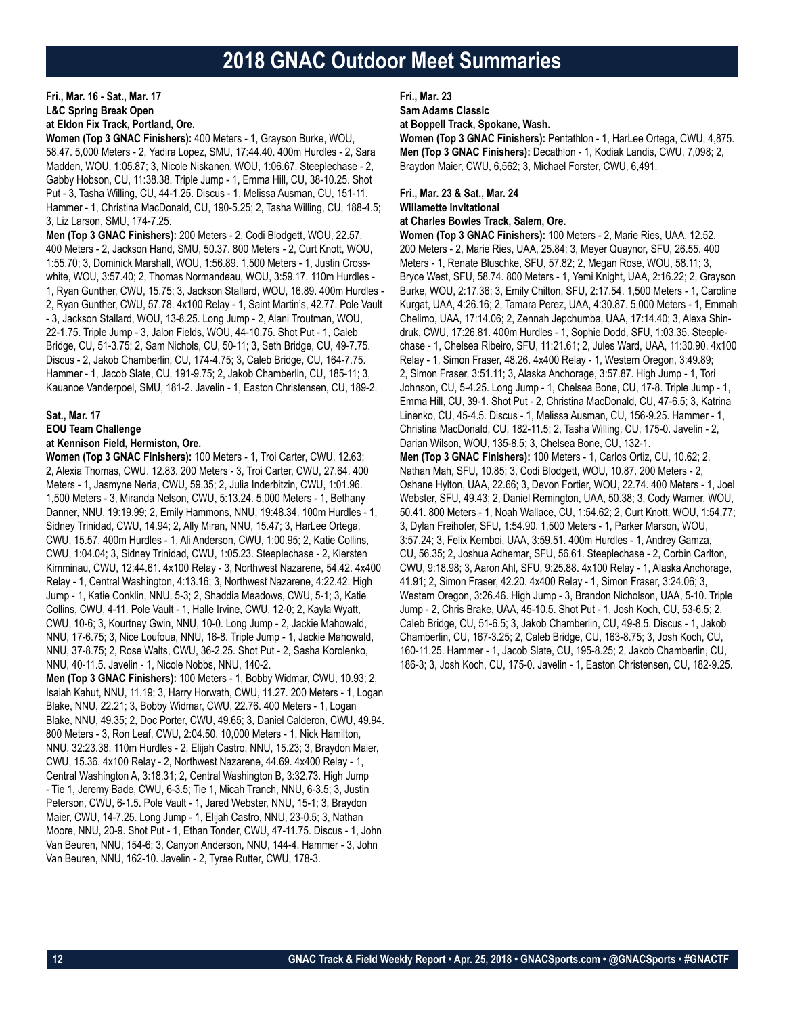# **Fri., Mar. 16 - Sat., Mar. 17 L&C Spring Break Open at Eldon Fix Track, Portland, Ore.**

**Women (Top 3 GNAC Finishers):** 400 Meters - 1, Grayson Burke, WOU, 58.47. 5,000 Meters - 2, Yadira Lopez, SMU, 17:44.40. 400m Hurdles - 2, Sara Madden, WOU, 1:05.87; 3, Nicole Niskanen, WOU, 1:06.67. Steeplechase - 2, Gabby Hobson, CU, 11:38.38. Triple Jump - 1, Emma Hill, CU, 38-10.25. Shot Put - 3, Tasha Willing, CU, 44-1.25. Discus - 1, Melissa Ausman, CU, 151-11. Hammer - 1, Christina MacDonald, CU, 190-5.25; 2, Tasha Willing, CU, 188-4.5; 3, Liz Larson, SMU, 174-7.25.

**Men (Top 3 GNAC Finishers):** 200 Meters - 2, Codi Blodgett, WOU, 22.57. 400 Meters - 2, Jackson Hand, SMU, 50.37. 800 Meters - 2, Curt Knott, WOU, 1:55.70; 3, Dominick Marshall, WOU, 1:56.89. 1,500 Meters - 1, Justin Crosswhite, WOU, 3:57.40; 2, Thomas Normandeau, WOU, 3:59.17. 110m Hurdles - 1, Ryan Gunther, CWU, 15.75; 3, Jackson Stallard, WOU, 16.89. 400m Hurdles - 2, Ryan Gunther, CWU, 57.78. 4x100 Relay - 1, Saint Martin's, 42.77. Pole Vault - 3, Jackson Stallard, WOU, 13-8.25. Long Jump - 2, Alani Troutman, WOU, 22-1.75. Triple Jump - 3, Jalon Fields, WOU, 44-10.75. Shot Put - 1, Caleb Bridge, CU, 51-3.75; 2, Sam Nichols, CU, 50-11; 3, Seth Bridge, CU, 49-7.75. Discus - 2, Jakob Chamberlin, CU, 174-4.75; 3, Caleb Bridge, CU, 164-7.75. Hammer - 1, Jacob Slate, CU, 191-9.75; 2, Jakob Chamberlin, CU, 185-11; 3, Kauanoe Vanderpoel, SMU, 181-2. Javelin - 1, Easton Christensen, CU, 189-2.

# **Sat., Mar. 17**

### **EOU Team Challenge**

### **at Kennison Field, Hermiston, Ore.**

**Women (Top 3 GNAC Finishers):** 100 Meters - 1, Troi Carter, CWU, 12.63; 2, Alexia Thomas, CWU. 12.83. 200 Meters - 3, Troi Carter, CWU, 27.64. 400 Meters - 1, Jasmyne Neria, CWU, 59.35; 2, Julia Inderbitzin, CWU, 1:01.96. 1,500 Meters - 3, Miranda Nelson, CWU, 5:13.24. 5,000 Meters - 1, Bethany Danner, NNU, 19:19.99; 2, Emily Hammons, NNU, 19:48.34. 100m Hurdles - 1, Sidney Trinidad, CWU, 14.94; 2, Ally Miran, NNU, 15.47; 3, HarLee Ortega, CWU, 15.57. 400m Hurdles - 1, Ali Anderson, CWU, 1:00.95; 2, Katie Collins, CWU, 1:04.04; 3, Sidney Trinidad, CWU, 1:05.23. Steeplechase - 2, Kiersten Kimminau, CWU, 12:44.61. 4x100 Relay - 3, Northwest Nazarene, 54.42. 4x400 Relay - 1, Central Washington, 4:13.16; 3, Northwest Nazarene, 4:22.42. High Jump - 1, Katie Conklin, NNU, 5-3; 2, Shaddia Meadows, CWU, 5-1; 3, Katie Collins, CWU, 4-11. Pole Vault - 1, Halle Irvine, CWU, 12-0; 2, Kayla Wyatt, CWU, 10-6; 3, Kourtney Gwin, NNU, 10-0. Long Jump - 2, Jackie Mahowald, NNU, 17-6.75; 3, Nice Loufoua, NNU, 16-8. Triple Jump - 1, Jackie Mahowald, NNU, 37-8.75; 2, Rose Walts, CWU, 36-2.25. Shot Put - 2, Sasha Korolenko, NNU, 40-11.5. Javelin - 1, Nicole Nobbs, NNU, 140-2.

**Men (Top 3 GNAC Finishers):** 100 Meters - 1, Bobby Widmar, CWU, 10.93; 2, Isaiah Kahut, NNU, 11.19; 3, Harry Horwath, CWU, 11.27. 200 Meters - 1, Logan Blake, NNU, 22.21; 3, Bobby Widmar, CWU, 22.76. 400 Meters - 1, Logan Blake, NNU, 49.35; 2, Doc Porter, CWU, 49.65; 3, Daniel Calderon, CWU, 49.94. 800 Meters - 3, Ron Leaf, CWU, 2:04.50. 10,000 Meters - 1, Nick Hamilton, NNU, 32:23.38. 110m Hurdles - 2, Elijah Castro, NNU, 15.23; 3, Braydon Maier, CWU, 15.36. 4x100 Relay - 2, Northwest Nazarene, 44.69. 4x400 Relay - 1, Central Washington A, 3:18.31; 2, Central Washington B, 3:32.73. High Jump - Tie 1, Jeremy Bade, CWU, 6-3.5; Tie 1, Micah Tranch, NNU, 6-3.5; 3, Justin Peterson, CWU, 6-1.5. Pole Vault - 1, Jared Webster, NNU, 15-1; 3, Braydon Maier, CWU, 14-7.25. Long Jump - 1, Elijah Castro, NNU, 23-0.5; 3, Nathan Moore, NNU, 20-9. Shot Put - 1, Ethan Tonder, CWU, 47-11.75. Discus - 1, John Van Beuren, NNU, 154-6; 3, Canyon Anderson, NNU, 144-4. Hammer - 3, John Van Beuren, NNU, 162-10. Javelin - 2, Tyree Rutter, CWU, 178-3.

**Fri., Mar. 23**

**Sam Adams Classic**

**at Boppell Track, Spokane, Wash.**

**Women (Top 3 GNAC Finishers):** Pentathlon - 1, HarLee Ortega, CWU, 4,875. **Men (Top 3 GNAC Finishers):** Decathlon - 1, Kodiak Landis, CWU, 7,098; 2, Braydon Maier, CWU, 6,562; 3, Michael Forster, CWU, 6,491.

# **Fri., Mar. 23 & Sat., Mar. 24 Willamette Invitational**

# **at Charles Bowles Track, Salem, Ore.**

**Women (Top 3 GNAC Finishers):** 100 Meters - 2, Marie Ries, UAA, 12.52. 200 Meters - 2, Marie Ries, UAA, 25.84; 3, Meyer Quaynor, SFU, 26.55. 400 Meters - 1, Renate Bluschke, SFU, 57.82; 2, Megan Rose, WOU, 58.11; 3, Bryce West, SFU, 58.74. 800 Meters - 1, Yemi Knight, UAA, 2:16.22; 2, Grayson Burke, WOU, 2:17.36; 3, Emily Chilton, SFU, 2:17.54. 1,500 Meters - 1, Caroline Kurgat, UAA, 4:26.16; 2, Tamara Perez, UAA, 4:30.87. 5,000 Meters - 1, Emmah Chelimo, UAA, 17:14.06; 2, Zennah Jepchumba, UAA, 17:14.40; 3, Alexa Shindruk, CWU, 17:26.81. 400m Hurdles - 1, Sophie Dodd, SFU, 1:03.35. Steeplechase - 1, Chelsea Ribeiro, SFU, 11:21.61; 2, Jules Ward, UAA, 11:30.90. 4x100 Relay - 1, Simon Fraser, 48.26. 4x400 Relay - 1, Western Oregon, 3:49.89; 2, Simon Fraser, 3:51.11; 3, Alaska Anchorage, 3:57.87. High Jump - 1, Tori Johnson, CU, 5-4.25. Long Jump - 1, Chelsea Bone, CU, 17-8. Triple Jump - 1, Emma Hill, CU, 39-1. Shot Put - 2, Christina MacDonald, CU, 47-6.5; 3, Katrina Linenko, CU, 45-4.5. Discus - 1, Melissa Ausman, CU, 156-9.25. Hammer - 1, Christina MacDonald, CU, 182-11.5; 2, Tasha Willing, CU, 175-0. Javelin - 2, Darian Wilson, WOU, 135-8.5; 3, Chelsea Bone, CU, 132-1. **Men (Top 3 GNAC Finishers):** 100 Meters - 1, Carlos Ortiz, CU, 10.62; 2, Nathan Mah, SFU, 10.85; 3, Codi Blodgett, WOU, 10.87. 200 Meters - 2, Oshane Hylton, UAA, 22.66; 3, Devon Fortier, WOU, 22.74. 400 Meters - 1, Joel Webster, SFU, 49.43; 2, Daniel Remington, UAA, 50.38; 3, Cody Warner, WOU, 50.41. 800 Meters - 1, Noah Wallace, CU, 1:54.62; 2, Curt Knott, WOU, 1:54.77; 3, Dylan Freihofer, SFU, 1:54.90. 1,500 Meters - 1, Parker Marson, WOU, 3:57.24; 3, Felix Kemboi, UAA, 3:59.51. 400m Hurdles - 1, Andrey Gamza, CU, 56.35; 2, Joshua Adhemar, SFU, 56.61. Steeplechase - 2, Corbin Carlton, CWU, 9:18.98; 3, Aaron Ahl, SFU, 9:25.88. 4x100 Relay - 1, Alaska Anchorage, 41.91; 2, Simon Fraser, 42.20. 4x400 Relay - 1, Simon Fraser, 3:24.06; 3, Western Oregon, 3:26.46. High Jump - 3, Brandon Nicholson, UAA, 5-10. Triple Jump - 2, Chris Brake, UAA, 45-10.5. Shot Put - 1, Josh Koch, CU, 53-6.5; 2, Caleb Bridge, CU, 51-6.5; 3, Jakob Chamberlin, CU, 49-8.5. Discus - 1, Jakob Chamberlin, CU, 167-3.25; 2, Caleb Bridge, CU, 163-8.75; 3, Josh Koch, CU, 160-11.25. Hammer - 1, Jacob Slate, CU, 195-8.25; 2, Jakob Chamberlin, CU, 186-3; 3, Josh Koch, CU, 175-0. Javelin - 1, Easton Christensen, CU, 182-9.25.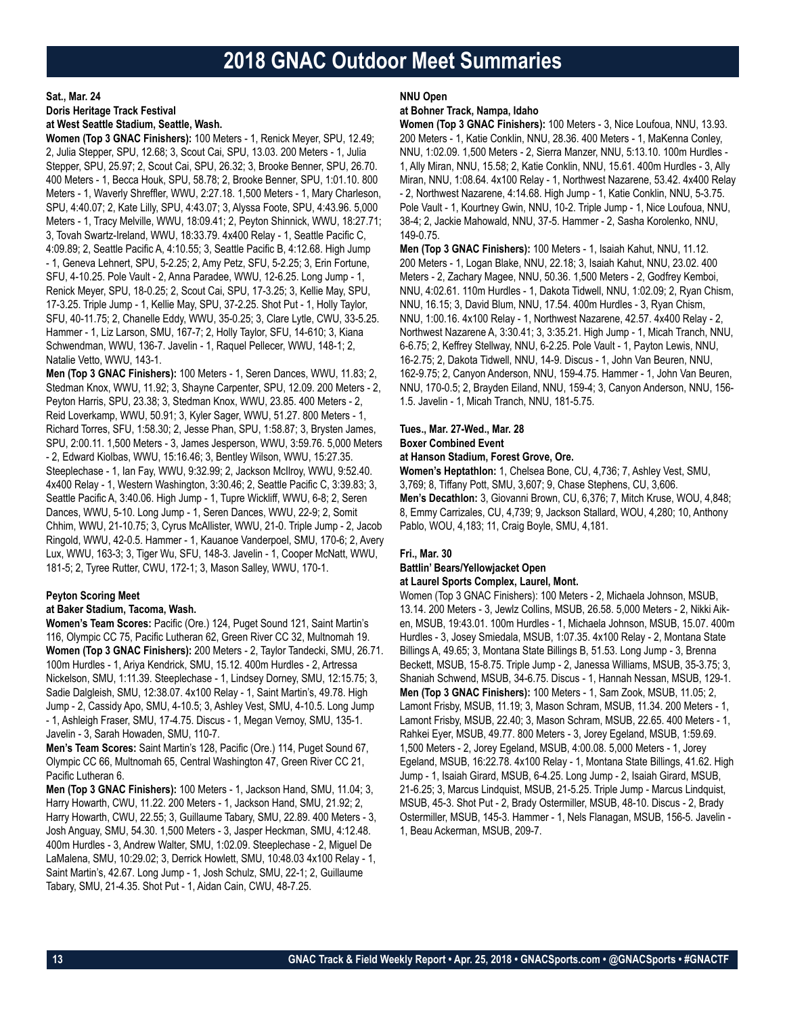#### **Sat., Mar. 24**

**Doris Heritage Track Festival**

## **at West Seattle Stadium, Seattle, Wash.**

**Women (Top 3 GNAC Finishers):** 100 Meters - 1, Renick Meyer, SPU, 12.49; 2, Julia Stepper, SPU, 12.68; 3, Scout Cai, SPU, 13.03. 200 Meters - 1, Julia Stepper, SPU, 25.97; 2, Scout Cai, SPU, 26.32; 3, Brooke Benner, SPU, 26.70. 400 Meters - 1, Becca Houk, SPU, 58.78; 2, Brooke Benner, SPU, 1:01.10. 800 Meters - 1, Waverly Shreffler, WWU, 2:27.18. 1,500 Meters - 1, Mary Charleson, SPU, 4:40.07; 2, Kate Lilly, SPU, 4:43.07; 3, Alyssa Foote, SPU, 4:43.96. 5,000 Meters - 1, Tracy Melville, WWU, 18:09.41; 2, Peyton Shinnick, WWU, 18:27.71; 3, Tovah Swartz-Ireland, WWU, 18:33.79. 4x400 Relay - 1, Seattle Pacific C, 4:09.89; 2, Seattle Pacific A, 4:10.55; 3, Seattle Pacific B, 4:12.68. High Jump - 1, Geneva Lehnert, SPU, 5-2.25; 2, Amy Petz, SFU, 5-2.25; 3, Erin Fortune, SFU, 4-10.25. Pole Vault - 2, Anna Paradee, WWU, 12-6.25. Long Jump - 1, Renick Meyer, SPU, 18-0.25; 2, Scout Cai, SPU, 17-3.25; 3, Kellie May, SPU, 17-3.25. Triple Jump - 1, Kellie May, SPU, 37-2.25. Shot Put - 1, Holly Taylor, SFU, 40-11.75; 2, Chanelle Eddy, WWU, 35-0.25; 3, Clare Lytle, CWU, 33-5.25. Hammer - 1, Liz Larson, SMU, 167-7; 2, Holly Taylor, SFU, 14-610; 3, Kiana Schwendman, WWU, 136-7. Javelin - 1, Raquel Pellecer, WWU, 148-1; 2, Natalie Vetto, WWU, 143-1.

**Men (Top 3 GNAC Finishers):** 100 Meters - 1, Seren Dances, WWU, 11.83; 2, Stedman Knox, WWU, 11.92; 3, Shayne Carpenter, SPU, 12.09. 200 Meters - 2, Peyton Harris, SPU, 23.38; 3, Stedman Knox, WWU, 23.85. 400 Meters - 2, Reid Loverkamp, WWU, 50.91; 3, Kyler Sager, WWU, 51.27. 800 Meters - 1, Richard Torres, SFU, 1:58.30; 2, Jesse Phan, SPU, 1:58.87; 3, Brysten James, SPU, 2:00.11. 1,500 Meters - 3, James Jesperson, WWU, 3:59.76. 5,000 Meters - 2, Edward Kiolbas, WWU, 15:16.46; 3, Bentley Wilson, WWU, 15:27.35. Steeplechase - 1, Ian Fay, WWU, 9:32.99; 2, Jackson McIlroy, WWU, 9:52.40. 4x400 Relay - 1, Western Washington, 3:30.46; 2, Seattle Pacific C, 3:39.83; 3, Seattle Pacific A, 3:40.06. High Jump - 1, Tupre Wickliff, WWU, 6-8; 2, Seren Dances, WWU, 5-10. Long Jump - 1, Seren Dances, WWU, 22-9; 2, Somit Chhim, WWU, 21-10.75; 3, Cyrus McAllister, WWU, 21-0. Triple Jump - 2, Jacob Ringold, WWU, 42-0.5. Hammer - 1, Kauanoe Vanderpoel, SMU, 170-6; 2, Avery Lux, WWU, 163-3; 3, Tiger Wu, SFU, 148-3. Javelin - 1, Cooper McNatt, WWU, 181-5; 2, Tyree Rutter, CWU, 172-1; 3, Mason Salley, WWU, 170-1.

### **Peyton Scoring Meet**

### **at Baker Stadium, Tacoma, Wash.**

**Women's Team Scores:** Pacific (Ore.) 124, Puget Sound 121, Saint Martin's 116, Olympic CC 75, Pacific Lutheran 62, Green River CC 32, Multnomah 19. **Women (Top 3 GNAC Finishers):** 200 Meters - 2, Taylor Tandecki, SMU, 26.71. 100m Hurdles - 1, Ariya Kendrick, SMU, 15.12. 400m Hurdles - 2, Artressa Nickelson, SMU, 1:11.39. Steeplechase - 1, Lindsey Dorney, SMU, 12:15.75; 3, Sadie Dalgleish, SMU, 12:38.07. 4x100 Relay - 1, Saint Martin's, 49.78. High Jump - 2, Cassidy Apo, SMU, 4-10.5; 3, Ashley Vest, SMU, 4-10.5. Long Jump - 1, Ashleigh Fraser, SMU, 17-4.75. Discus - 1, Megan Vernoy, SMU, 135-1. Javelin - 3, Sarah Howaden, SMU, 110-7.

**Men's Team Scores:** Saint Martin's 128, Pacific (Ore.) 114, Puget Sound 67, Olympic CC 66, Multnomah 65, Central Washington 47, Green River CC 21, Pacific Lutheran 6.

**Men (Top 3 GNAC Finishers):** 100 Meters - 1, Jackson Hand, SMU, 11.04; 3, Harry Howarth, CWU, 11.22. 200 Meters - 1, Jackson Hand, SMU, 21.92; 2, Harry Howarth, CWU, 22.55; 3, Guillaume Tabary, SMU, 22.89. 400 Meters - 3, Josh Anguay, SMU, 54.30. 1,500 Meters - 3, Jasper Heckman, SMU, 4:12.48. 400m Hurdles - 3, Andrew Walter, SMU, 1:02.09. Steeplechase - 2, Miguel De LaMalena, SMU, 10:29.02; 3, Derrick Howlett, SMU, 10:48.03 4x100 Relay - 1, Saint Martin's, 42.67. Long Jump - 1, Josh Schulz, SMU, 22-1; 2, Guillaume Tabary, SMU, 21-4.35. Shot Put - 1, Aidan Cain, CWU, 48-7.25.

#### **NNU Open**

#### **at Bohner Track, Nampa, Idaho**

**Women (Top 3 GNAC Finishers):** 100 Meters - 3, Nice Loufoua, NNU, 13.93. 200 Meters - 1, Katie Conklin, NNU, 28.36. 400 Meters - 1, MaKenna Conley, NNU, 1:02.09. 1,500 Meters - 2, Sierra Manzer, NNU, 5:13.10. 100m Hurdles - 1, Ally Miran, NNU, 15.58; 2, Katie Conklin, NNU, 15.61. 400m Hurdles - 3, Ally Miran, NNU, 1:08.64. 4x100 Relay - 1, Northwest Nazarene, 53.42. 4x400 Relay - 2, Northwest Nazarene, 4:14.68. High Jump - 1, Katie Conklin, NNU, 5-3.75. Pole Vault - 1, Kourtney Gwin, NNU, 10-2. Triple Jump - 1, Nice Loufoua, NNU, 38-4; 2, Jackie Mahowald, NNU, 37-5. Hammer - 2, Sasha Korolenko, NNU, 149-0.75.

**Men (Top 3 GNAC Finishers):** 100 Meters - 1, Isaiah Kahut, NNU, 11.12. 200 Meters - 1, Logan Blake, NNU, 22.18; 3, Isaiah Kahut, NNU, 23.02. 400 Meters - 2, Zachary Magee, NNU, 50.36. 1,500 Meters - 2, Godfrey Kemboi, NNU, 4:02.61. 110m Hurdles - 1, Dakota Tidwell, NNU, 1:02.09; 2, Ryan Chism, NNU, 16.15; 3, David Blum, NNU, 17.54. 400m Hurdles - 3, Ryan Chism, NNU, 1:00.16. 4x100 Relay - 1, Northwest Nazarene, 42.57. 4x400 Relay - 2, Northwest Nazarene A, 3:30.41; 3, 3:35.21. High Jump - 1, Micah Tranch, NNU, 6-6.75; 2, Keffrey Stellway, NNU, 6-2.25. Pole Vault - 1, Payton Lewis, NNU, 16-2.75; 2, Dakota Tidwell, NNU, 14-9. Discus - 1, John Van Beuren, NNU, 162-9.75; 2, Canyon Anderson, NNU, 159-4.75. Hammer - 1, John Van Beuren, NNU, 170-0.5; 2, Brayden Eiland, NNU, 159-4; 3, Canyon Anderson, NNU, 156- 1.5. Javelin - 1, Micah Tranch, NNU, 181-5.75.

#### **Tues., Mar. 27-Wed., Mar. 28**

#### **Boxer Combined Event**

#### **at Hanson Stadium, Forest Grove, Ore.**

**Women's Heptathlon:** 1, Chelsea Bone, CU, 4,736; 7, Ashley Vest, SMU, 3,769; 8, Tiffany Pott, SMU, 3,607; 9, Chase Stephens, CU, 3,606. **Men's Decathlon:** 3, Giovanni Brown, CU, 6,376; 7, Mitch Kruse, WOU, 4,848; 8, Emmy Carrizales, CU, 4,739; 9, Jackson Stallard, WOU, 4,280; 10, Anthony Pablo, WOU, 4,183; 11, Craig Boyle, SMU, 4,181.

# **Fri., Mar. 30**

# **Battlin' Bears/Yellowjacket Open**

**at Laurel Sports Complex, Laurel, Mont.**

Women (Top 3 GNAC Finishers): 100 Meters - 2, Michaela Johnson, MSUB, 13.14. 200 Meters - 3, Jewlz Collins, MSUB, 26.58. 5,000 Meters - 2, Nikki Aiken, MSUB, 19:43.01. 100m Hurdles - 1, Michaela Johnson, MSUB, 15.07. 400m Hurdles - 3, Josey Smiedala, MSUB, 1:07.35. 4x100 Relay - 2, Montana State Billings A, 49.65; 3, Montana State Billings B, 51.53. Long Jump - 3, Brenna Beckett, MSUB, 15-8.75. Triple Jump - 2, Janessa Williams, MSUB, 35-3.75; 3, Shaniah Schwend, MSUB, 34-6.75. Discus - 1, Hannah Nessan, MSUB, 129-1. **Men (Top 3 GNAC Finishers):** 100 Meters - 1, Sam Zook, MSUB, 11.05; 2, Lamont Frisby, MSUB, 11.19; 3, Mason Schram, MSUB, 11.34. 200 Meters - 1, Lamont Frisby, MSUB, 22.40; 3, Mason Schram, MSUB, 22.65. 400 Meters - 1, Rahkei Eyer, MSUB, 49.77. 800 Meters - 3, Jorey Egeland, MSUB, 1:59.69. 1,500 Meters - 2, Jorey Egeland, MSUB, 4:00.08. 5,000 Meters - 1, Jorey Egeland, MSUB, 16:22.78. 4x100 Relay - 1, Montana State Billings, 41.62. High Jump - 1, Isaiah Girard, MSUB, 6-4.25. Long Jump - 2, Isaiah Girard, MSUB, 21-6.25; 3, Marcus Lindquist, MSUB, 21-5.25. Triple Jump - Marcus Lindquist, MSUB, 45-3. Shot Put - 2, Brady Ostermiller, MSUB, 48-10. Discus - 2, Brady Ostermiller, MSUB, 145-3. Hammer - 1, Nels Flanagan, MSUB, 156-5. Javelin - 1, Beau Ackerman, MSUB, 209-7.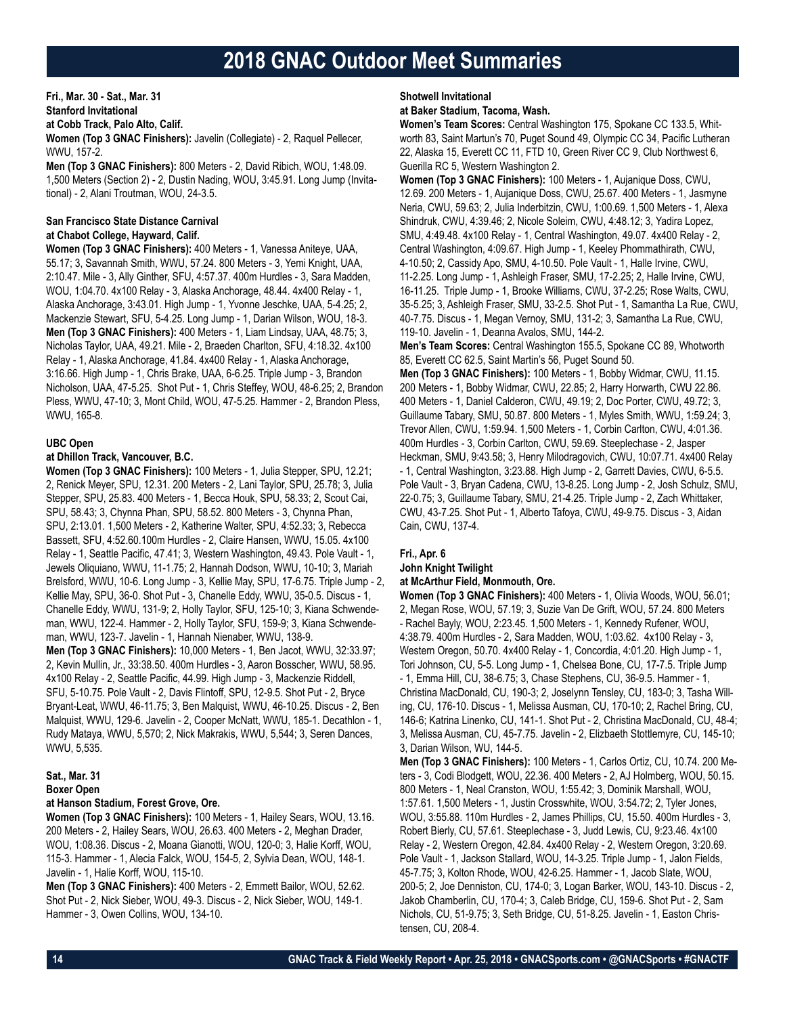**Fri., Mar. 30 - Sat., Mar. 31 Stanford Invitational at Cobb Track, Palo Alto, Calif. Women (Top 3 GNAC Finishers):** Javelin (Collegiate) - 2, Raquel Pellecer, WWU, 157-2.

**Men (Top 3 GNAC Finishers):** 800 Meters - 2, David Ribich, WOU, 1:48.09. 1,500 Meters (Section 2) - 2, Dustin Nading, WOU, 3:45.91. Long Jump (Invitational) - 2, Alani Troutman, WOU, 24-3.5.

# **San Francisco State Distance Carnival at Chabot College, Hayward, Calif.**

**Women (Top 3 GNAC Finishers):** 400 Meters - 1, Vanessa Aniteye, UAA, 55.17; 3, Savannah Smith, WWU, 57.24. 800 Meters - 3, Yemi Knight, UAA, 2:10.47. Mile - 3, Ally Ginther, SFU, 4:57.37. 400m Hurdles - 3, Sara Madden, WOU, 1:04.70. 4x100 Relay - 3, Alaska Anchorage, 48.44. 4x400 Relay - 1, Alaska Anchorage, 3:43.01. High Jump - 1, Yvonne Jeschke, UAA, 5-4.25; 2, Mackenzie Stewart, SFU, 5-4.25. Long Jump - 1, Darian Wilson, WOU, 18-3. **Men (Top 3 GNAC Finishers):** 400 Meters - 1, Liam Lindsay, UAA, 48.75; 3, Nicholas Taylor, UAA, 49.21. Mile - 2, Braeden Charlton, SFU, 4:18.32. 4x100 Relay - 1, Alaska Anchorage, 41.84. 4x400 Relay - 1, Alaska Anchorage, 3:16.66. High Jump - 1, Chris Brake, UAA, 6-6.25. Triple Jump - 3, Brandon Nicholson, UAA, 47-5.25. Shot Put - 1, Chris Steffey, WOU, 48-6.25; 2, Brandon Pless, WWU, 47-10; 3, Mont Child, WOU, 47-5.25. Hammer - 2, Brandon Pless, WWU, 165-8.

# **UBC Open**

### **at Dhillon Track, Vancouver, B.C.**

**Women (Top 3 GNAC Finishers):** 100 Meters - 1, Julia Stepper, SPU, 12.21; 2, Renick Meyer, SPU, 12.31. 200 Meters - 2, Lani Taylor, SPU, 25.78; 3, Julia Stepper, SPU, 25.83. 400 Meters - 1, Becca Houk, SPU, 58.33; 2, Scout Cai, SPU, 58.43; 3, Chynna Phan, SPU, 58.52. 800 Meters - 3, Chynna Phan, SPU, 2:13.01. 1,500 Meters - 2, Katherine Walter, SPU, 4:52.33; 3, Rebecca Bassett, SFU, 4:52.60.100m Hurdles - 2, Claire Hansen, WWU, 15.05. 4x100 Relay - 1, Seattle Pacific, 47.41; 3, Western Washington, 49.43. Pole Vault - 1, Jewels Oliquiano, WWU, 11-1.75; 2, Hannah Dodson, WWU, 10-10; 3, Mariah Brelsford, WWU, 10-6. Long Jump - 3, Kellie May, SPU, 17-6.75. Triple Jump - 2, Kellie May, SPU, 36-0. Shot Put - 3, Chanelle Eddy, WWU, 35-0.5. Discus - 1, Chanelle Eddy, WWU, 131-9; 2, Holly Taylor, SFU, 125-10; 3, Kiana Schwendeman, WWU, 122-4. Hammer - 2, Holly Taylor, SFU, 159-9; 3, Kiana Schwendeman, WWU, 123-7. Javelin - 1, Hannah Nienaber, WWU, 138-9.

**Men (Top 3 GNAC Finishers):** 10,000 Meters - 1, Ben Jacot, WWU, 32:33.97; 2, Kevin Mullin, Jr., 33:38.50. 400m Hurdles - 3, Aaron Bosscher, WWU, 58.95. 4x100 Relay - 2, Seattle Pacific, 44.99. High Jump - 3, Mackenzie Riddell, SFU, 5-10.75. Pole Vault - 2, Davis Flintoff, SPU, 12-9.5. Shot Put - 2, Bryce Bryant-Leat, WWU, 46-11.75; 3, Ben Malquist, WWU, 46-10.25. Discus - 2, Ben Malquist, WWU, 129-6. Javelin - 2, Cooper McNatt, WWU, 185-1. Decathlon - 1, Rudy Mataya, WWU, 5,570; 2, Nick Makrakis, WWU, 5,544; 3, Seren Dances, WWU, 5,535.

#### **Sat., Mar. 31 Boxer Open**

# **at Hanson Stadium, Forest Grove, Ore.**

**Women (Top 3 GNAC Finishers):** 100 Meters - 1, Hailey Sears, WOU, 13.16. 200 Meters - 2, Hailey Sears, WOU, 26.63. 400 Meters - 2, Meghan Drader, WOU, 1:08.36. Discus - 2, Moana Gianotti, WOU, 120-0; 3, Halie Korff, WOU, 115-3. Hammer - 1, Alecia Falck, WOU, 154-5, 2, Sylvia Dean, WOU, 148-1. Javelin - 1, Halie Korff, WOU, 115-10.

**Men (Top 3 GNAC Finishers):** 400 Meters - 2, Emmett Bailor, WOU, 52.62. Shot Put - 2, Nick Sieber, WOU, 49-3. Discus - 2, Nick Sieber, WOU, 149-1. Hammer - 3, Owen Collins, WOU, 134-10.

### **Shotwell Invitational**

### **at Baker Stadium, Tacoma, Wash.**

**Women's Team Scores:** Central Washington 175, Spokane CC 133.5, Whitworth 83, Saint Martun's 70, Puget Sound 49, Olympic CC 34, Pacific Lutheran 22, Alaska 15, Everett CC 11, FTD 10, Green River CC 9, Club Northwest 6, Guerilla RC 5, Western Washington 2.

**Women (Top 3 GNAC Finishers):** 100 Meters - 1, Aujanique Doss, CWU, 12.69. 200 Meters - 1, Aujanique Doss, CWU, 25.67. 400 Meters - 1, Jasmyne Neria, CWU, 59.63; 2, Julia Inderbitzin, CWU, 1:00.69. 1,500 Meters - 1, Alexa Shindruk, CWU, 4:39.46; 2, Nicole Soleim, CWU, 4:48.12; 3, Yadira Lopez, SMU, 4:49.48. 4x100 Relay - 1, Central Washington, 49.07. 4x400 Relay - 2, Central Washington, 4:09.67. High Jump - 1, Keeley Phommathirath, CWU, 4-10.50; 2, Cassidy Apo, SMU, 4-10.50. Pole Vault - 1, Halle Irvine, CWU, 11-2.25. Long Jump - 1, Ashleigh Fraser, SMU, 17-2.25; 2, Halle Irvine, CWU, 16-11.25. Triple Jump - 1, Brooke Williams, CWU, 37-2.25; Rose Walts, CWU, 35-5.25; 3, Ashleigh Fraser, SMU, 33-2.5. Shot Put - 1, Samantha La Rue, CWU, 40-7.75. Discus - 1, Megan Vernoy, SMU, 131-2; 3, Samantha La Rue, CWU, 119-10. Javelin - 1, Deanna Avalos, SMU, 144-2.

**Men's Team Scores:** Central Washington 155.5, Spokane CC 89, Whotworth 85, Everett CC 62.5, Saint Martin's 56, Puget Sound 50.

**Men (Top 3 GNAC Finishers):** 100 Meters - 1, Bobby Widmar, CWU, 11.15. 200 Meters - 1, Bobby Widmar, CWU, 22.85; 2, Harry Horwarth, CWU 22.86. 400 Meters - 1, Daniel Calderon, CWU, 49.19; 2, Doc Porter, CWU, 49.72; 3, Guillaume Tabary, SMU, 50.87. 800 Meters - 1, Myles Smith, WWU, 1:59.24; 3, Trevor Allen, CWU, 1:59.94. 1,500 Meters - 1, Corbin Carlton, CWU, 4:01.36. 400m Hurdles - 3, Corbin Carlton, CWU, 59.69. Steeplechase - 2, Jasper Heckman, SMU, 9:43.58; 3, Henry Milodragovich, CWU, 10:07.71. 4x400 Relay - 1, Central Washington, 3:23.88. High Jump - 2, Garrett Davies, CWU, 6-5.5. Pole Vault - 3, Bryan Cadena, CWU, 13-8.25. Long Jump - 2, Josh Schulz, SMU, 22-0.75; 3, Guillaume Tabary, SMU, 21-4.25. Triple Jump - 2, Zach Whittaker, CWU, 43-7.25. Shot Put - 1, Alberto Tafoya, CWU, 49-9.75. Discus - 3, Aidan Cain, CWU, 137-4.

# **Fri., Apr. 6**

# **John Knight Twilight**

**at McArthur Field, Monmouth, Ore. Women (Top 3 GNAC Finishers):** 400 Meters - 1, Olivia Woods, WOU, 56.01; 2, Megan Rose, WOU, 57.19; 3, Suzie Van De Grift, WOU, 57.24. 800 Meters - Rachel Bayly, WOU, 2:23.45. 1,500 Meters - 1, Kennedy Rufener, WOU, 4:38.79. 400m Hurdles - 2, Sara Madden, WOU, 1:03.62. 4x100 Relay - 3, Western Oregon, 50.70. 4x400 Relay - 1, Concordia, 4:01.20. High Jump - 1, Tori Johnson, CU, 5-5. Long Jump - 1, Chelsea Bone, CU, 17-7.5. Triple Jump - 1, Emma Hill, CU, 38-6.75; 3, Chase Stephens, CU, 36-9.5. Hammer - 1, Christina MacDonald, CU, 190-3; 2, Joselynn Tensley, CU, 183-0; 3, Tasha Willing, CU, 176-10. Discus - 1, Melissa Ausman, CU, 170-10; 2, Rachel Bring, CU, 146-6; Katrina Linenko, CU, 141-1. Shot Put - 2, Christina MacDonald, CU, 48-4; 3, Melissa Ausman, CU, 45-7.75. Javelin - 2, Elizbaeth Stottlemyre, CU, 145-10; 3, Darian Wilson, WU, 144-5.

**Men (Top 3 GNAC Finishers):** 100 Meters - 1, Carlos Ortiz, CU, 10.74. 200 Meters - 3, Codi Blodgett, WOU, 22.36. 400 Meters - 2, AJ Holmberg, WOU, 50.15. 800 Meters - 1, Neal Cranston, WOU, 1:55.42; 3, Dominik Marshall, WOU, 1:57.61. 1,500 Meters - 1, Justin Crosswhite, WOU, 3:54.72; 2, Tyler Jones, WOU, 3:55.88. 110m Hurdles - 2, James Phillips, CU, 15.50. 400m Hurdles - 3, Robert Bierly, CU, 57.61. Steeplechase - 3, Judd Lewis, CU, 9:23.46. 4x100 Relay - 2, Western Oregon, 42.84. 4x400 Relay - 2, Western Oregon, 3:20.69. Pole Vault - 1, Jackson Stallard, WOU, 14-3.25. Triple Jump - 1, Jalon Fields, 45-7.75; 3, Kolton Rhode, WOU, 42-6.25. Hammer - 1, Jacob Slate, WOU, 200-5; 2, Joe Denniston, CU, 174-0; 3, Logan Barker, WOU, 143-10. Discus - 2, Jakob Chamberlin, CU, 170-4; 3, Caleb Bridge, CU, 159-6. Shot Put - 2, Sam Nichols, CU, 51-9.75; 3, Seth Bridge, CU, 51-8.25. Javelin - 1, Easton Christensen, CU, 208-4.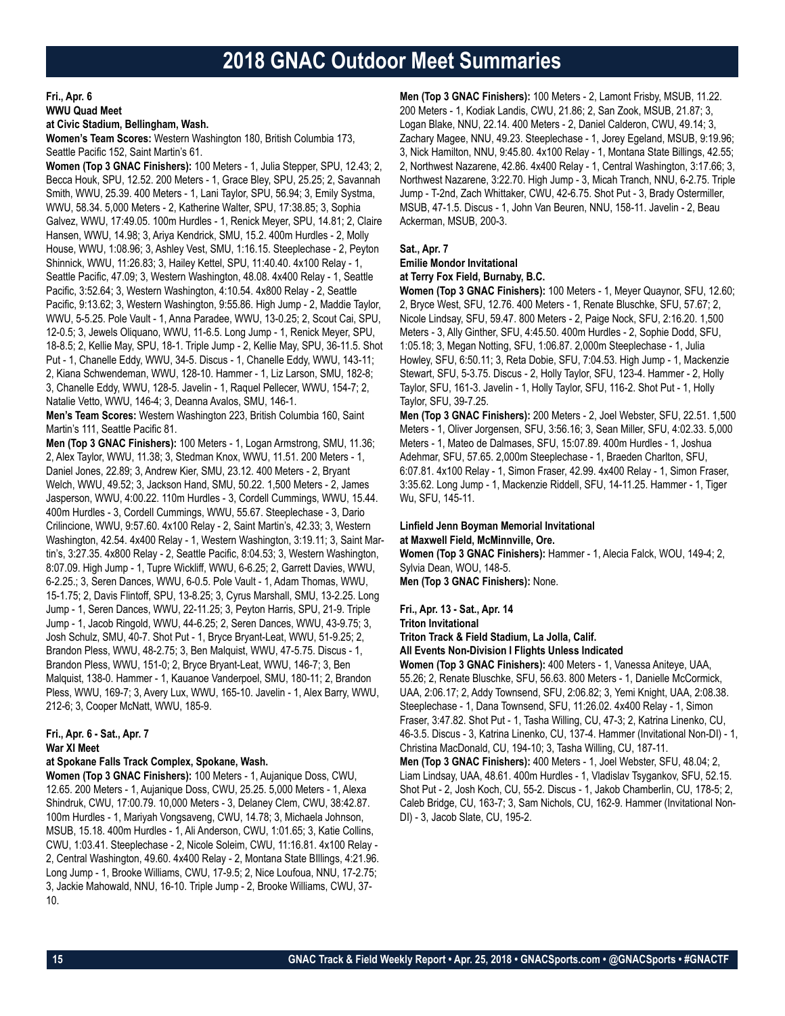**Fri., Apr. 6 WWU Quad Meet**

#### **at Civic Stadium, Bellingham, Wash.**

**Women's Team Scores:** Western Washington 180, British Columbia 173, Seattle Pacific 152, Saint Martin's 61.

**Women (Top 3 GNAC Finishers):** 100 Meters - 1, Julia Stepper, SPU, 12.43; 2, Becca Houk, SPU, 12.52. 200 Meters - 1, Grace Bley, SPU, 25.25; 2, Savannah Smith, WWU, 25.39. 400 Meters - 1, Lani Taylor, SPU, 56.94; 3, Emily Systma, WWU, 58.34. 5,000 Meters - 2, Katherine Walter, SPU, 17:38.85; 3, Sophia Galvez, WWU, 17:49.05. 100m Hurdles - 1, Renick Meyer, SPU, 14.81; 2, Claire Hansen, WWU, 14.98; 3, Ariya Kendrick, SMU, 15.2. 400m Hurdles - 2, Molly House, WWU, 1:08.96; 3, Ashley Vest, SMU, 1:16.15. Steeplechase - 2, Peyton Shinnick, WWU, 11:26.83; 3, Hailey Kettel, SPU, 11:40.40. 4x100 Relay - 1, Seattle Pacific, 47.09; 3, Western Washington, 48.08. 4x400 Relay - 1, Seattle Pacific, 3:52.64; 3, Western Washington, 4:10.54. 4x800 Relay - 2, Seattle Pacific, 9:13.62; 3, Western Washington, 9:55.86. High Jump - 2, Maddie Taylor, WWU, 5-5.25. Pole Vault - 1, Anna Paradee, WWU, 13-0.25; 2, Scout Cai, SPU, 12-0.5; 3, Jewels Oliquano, WWU, 11-6.5. Long Jump - 1, Renick Meyer, SPU, 18-8.5; 2, Kellie May, SPU, 18-1. Triple Jump - 2, Kellie May, SPU, 36-11.5. Shot Put - 1, Chanelle Eddy, WWU, 34-5. Discus - 1, Chanelle Eddy, WWU, 143-11; 2, Kiana Schwendeman, WWU, 128-10. Hammer - 1, Liz Larson, SMU, 182-8; 3, Chanelle Eddy, WWU, 128-5. Javelin - 1, Raquel Pellecer, WWU, 154-7; 2, Natalie Vetto, WWU, 146-4; 3, Deanna Avalos, SMU, 146-1.

**Men's Team Scores:** Western Washington 223, British Columbia 160, Saint Martin's 111, Seattle Pacific 81.

**Men (Top 3 GNAC Finishers):** 100 Meters - 1, Logan Armstrong, SMU, 11.36; 2, Alex Taylor, WWU, 11.38; 3, Stedman Knox, WWU, 11.51. 200 Meters - 1, Daniel Jones, 22.89; 3, Andrew Kier, SMU, 23.12. 400 Meters - 2, Bryant Welch, WWU, 49.52; 3, Jackson Hand, SMU, 50.22. 1,500 Meters - 2, James Jasperson, WWU, 4:00.22. 110m Hurdles - 3, Cordell Cummings, WWU, 15.44. 400m Hurdles - 3, Cordell Cummings, WWU, 55.67. Steeplechase - 3, Dario Crilincione, WWU, 9:57.60. 4x100 Relay - 2, Saint Martin's, 42.33; 3, Western Washington, 42.54. 4x400 Relay - 1, Western Washington, 3:19.11; 3, Saint Martin's, 3:27.35. 4x800 Relay - 2, Seattle Pacific, 8:04.53; 3, Western Washington, 8:07.09. High Jump - 1, Tupre Wickliff, WWU, 6-6.25; 2, Garrett Davies, WWU, 6-2.25.; 3, Seren Dances, WWU, 6-0.5. Pole Vault - 1, Adam Thomas, WWU, 15-1.75; 2, Davis Flintoff, SPU, 13-8.25; 3, Cyrus Marshall, SMU, 13-2.25. Long Jump - 1, Seren Dances, WWU, 22-11.25; 3, Peyton Harris, SPU, 21-9. Triple Jump - 1, Jacob Ringold, WWU, 44-6.25; 2, Seren Dances, WWU, 43-9.75; 3, Josh Schulz, SMU, 40-7. Shot Put - 1, Bryce Bryant-Leat, WWU, 51-9.25; 2, Brandon Pless, WWU, 48-2.75; 3, Ben Malquist, WWU, 47-5.75. Discus - 1, Brandon Pless, WWU, 151-0; 2, Bryce Bryant-Leat, WWU, 146-7; 3, Ben Malquist, 138-0. Hammer - 1, Kauanoe Vanderpoel, SMU, 180-11; 2, Brandon Pless, WWU, 169-7; 3, Avery Lux, WWU, 165-10. Javelin - 1, Alex Barry, WWU, 212-6; 3, Cooper McNatt, WWU, 185-9.

### **Fri., Apr. 6 - Sat., Apr. 7 War XI Meet**

### **at Spokane Falls Track Complex, Spokane, Wash.**

**Women (Top 3 GNAC Finishers):** 100 Meters - 1, Aujanique Doss, CWU, 12.65. 200 Meters - 1, Aujanique Doss, CWU, 25.25. 5,000 Meters - 1, Alexa Shindruk, CWU, 17:00.79. 10,000 Meters - 3, Delaney Clem, CWU, 38:42.87. 100m Hurdles - 1, Mariyah Vongsaveng, CWU, 14.78; 3, Michaela Johnson, MSUB, 15.18. 400m Hurdles - 1, Ali Anderson, CWU, 1:01.65; 3, Katie Collins, CWU, 1:03.41. Steeplechase - 2, Nicole Soleim, CWU, 11:16.81. 4x100 Relay - 2, Central Washington, 49.60. 4x400 Relay - 2, Montana State BIllings, 4:21.96. Long Jump - 1, Brooke Williams, CWU, 17-9.5; 2, Nice Loufoua, NNU, 17-2.75; 3, Jackie Mahowald, NNU, 16-10. Triple Jump - 2, Brooke Williams, CWU, 37- 10.

**Men (Top 3 GNAC Finishers):** 100 Meters - 2, Lamont Frisby, MSUB, 11.22. 200 Meters - 1, Kodiak Landis, CWU, 21.86; 2, San Zook, MSUB, 21.87; 3, Logan Blake, NNU, 22.14. 400 Meters - 2, Daniel Calderon, CWU, 49.14; 3, Zachary Magee, NNU, 49.23. Steeplechase - 1, Jorey Egeland, MSUB, 9:19.96; 3, Nick Hamilton, NNU, 9:45.80. 4x100 Relay - 1, Montana State Billings, 42.55; 2, Northwest Nazarene, 42.86. 4x400 Relay - 1, Central Washington, 3:17.66; 3, Northwest Nazarene, 3:22.70. High Jump - 3, Micah Tranch, NNU, 6-2.75. Triple Jump - T-2nd, Zach Whittaker, CWU, 42-6.75. Shot Put - 3, Brady Ostermiller, MSUB, 47-1.5. Discus - 1, John Van Beuren, NNU, 158-11. Javelin - 2, Beau Ackerman, MSUB, 200-3.

### **Sat., Apr. 7**

#### **Emilie Mondor Invitational at Terry Fox Field, Burnaby, B.C.**

**Women (Top 3 GNAC Finishers):** 100 Meters - 1, Meyer Quaynor, SFU, 12.60; 2, Bryce West, SFU, 12.76. 400 Meters - 1, Renate Bluschke, SFU, 57.67; 2, Nicole Lindsay, SFU, 59.47. 800 Meters - 2, Paige Nock, SFU, 2:16.20. 1,500 Meters - 3, Ally Ginther, SFU, 4:45.50. 400m Hurdles - 2, Sophie Dodd, SFU, 1:05.18; 3, Megan Notting, SFU, 1:06.87. 2,000m Steeplechase - 1, Julia Howley, SFU, 6:50.11; 3, Reta Dobie, SFU, 7:04.53. High Jump - 1, Mackenzie Stewart, SFU, 5-3.75. Discus - 2, Holly Taylor, SFU, 123-4. Hammer - 2, Holly Taylor, SFU, 161-3. Javelin - 1, Holly Taylor, SFU, 116-2. Shot Put - 1, Holly Taylor, SFU, 39-7.25.

**Men (Top 3 GNAC Finishers):** 200 Meters - 2, Joel Webster, SFU, 22.51. 1,500 Meters - 1, Oliver Jorgensen, SFU, 3:56.16; 3, Sean Miller, SFU, 4:02.33. 5,000 Meters - 1, Mateo de Dalmases, SFU, 15:07.89. 400m Hurdles - 1, Joshua Adehmar, SFU, 57.65. 2,000m Steeplechase - 1, Braeden Charlton, SFU, 6:07.81. 4x100 Relay - 1, Simon Fraser, 42.99. 4x400 Relay - 1, Simon Fraser, 3:35.62. Long Jump - 1, Mackenzie Riddell, SFU, 14-11.25. Hammer - 1, Tiger Wu, SFU, 145-11.

# **Linfield Jenn Boyman Memorial Invitational**

**at Maxwell Field, McMinnville, Ore.**

**Women (Top 3 GNAC Finishers):** Hammer - 1, Alecia Falck, WOU, 149-4; 2, Sylvia Dean, WOU, 148-5. **Men (Top 3 GNAC Finishers):** None.

### **Fri., Apr. 13 - Sat., Apr. 14**

**Triton Invitational Triton Track & Field Stadium, La Jolla, Calif.**

**All Events Non-Division I Flights Unless Indicated**

**Women (Top 3 GNAC Finishers):** 400 Meters - 1, Vanessa Aniteye, UAA, 55.26; 2, Renate Bluschke, SFU, 56.63. 800 Meters - 1, Danielle McCormick, UAA, 2:06.17; 2, Addy Townsend, SFU, 2:06.82; 3, Yemi Knight, UAA, 2:08.38. Steeplechase - 1, Dana Townsend, SFU, 11:26.02. 4x400 Relay - 1, Simon Fraser, 3:47.82. Shot Put - 1, Tasha Willing, CU, 47-3; 2, Katrina Linenko, CU, 46-3.5. Discus - 3, Katrina Linenko, CU, 137-4. Hammer (Invitational Non-DI) - 1, Christina MacDonald, CU, 194-10; 3, Tasha Willing, CU, 187-11. **Men (Top 3 GNAC Finishers):** 400 Meters - 1, Joel Webster, SFU, 48.04; 2, Liam Lindsay, UAA, 48.61. 400m Hurdles - 1, Vladislav Tsygankov, SFU, 52.15. Shot Put - 2, Josh Koch, CU, 55-2. Discus - 1, Jakob Chamberlin, CU, 178-5; 2, Caleb Bridge, CU, 163-7; 3, Sam Nichols, CU, 162-9. Hammer (Invitational Non-DI) - 3, Jacob Slate, CU, 195-2.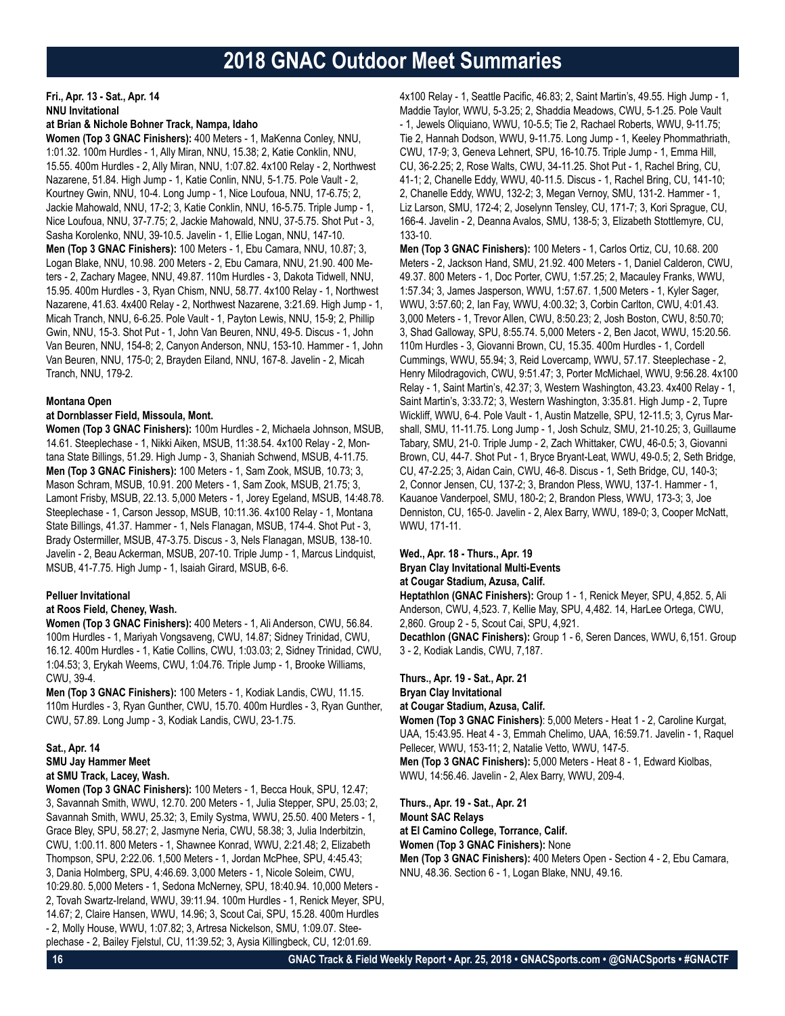# **Fri., Apr. 13 - Sat., Apr. 14 NNU Invitational**

### **at Brian & Nichole Bohner Track, Nampa, Idaho**

**Women (Top 3 GNAC Finishers):** 400 Meters - 1, MaKenna Conley, NNU, 1:01.32. 100m Hurdles - 1, Ally Miran, NNU, 15.38; 2, Katie Conklin, NNU, 15.55. 400m Hurdles - 2, Ally Miran, NNU, 1:07.82. 4x100 Relay - 2, Northwest Nazarene, 51.84. High Jump - 1, Katie Conlin, NNU, 5-1.75. Pole Vault - 2, Kourtney Gwin, NNU, 10-4. Long Jump - 1, Nice Loufoua, NNU, 17-6.75; 2, Jackie Mahowald, NNU, 17-2; 3, Katie Conklin, NNU, 16-5.75. Triple Jump - 1, Nice Loufoua, NNU, 37-7.75; 2, Jackie Mahowald, NNU, 37-5.75. Shot Put - 3, Sasha Korolenko, NNU, 39-10.5. Javelin - 1, Ellie Logan, NNU, 147-10. **Men (Top 3 GNAC Finishers):** 100 Meters - 1, Ebu Camara, NNU, 10.87; 3, Logan Blake, NNU, 10.98. 200 Meters - 2, Ebu Camara, NNU, 21.90. 400 Meters - 2, Zachary Magee, NNU, 49.87. 110m Hurdles - 3, Dakota Tidwell, NNU, 15.95. 400m Hurdles - 3, Ryan Chism, NNU, 58.77. 4x100 Relay - 1, Northwest Nazarene, 41.63. 4x400 Relay - 2, Northwest Nazarene, 3:21.69. High Jump - 1, Micah Tranch, NNU, 6-6.25. Pole Vault - 1, Payton Lewis, NNU, 15-9; 2, Phillip Gwin, NNU, 15-3. Shot Put - 1, John Van Beuren, NNU, 49-5. Discus - 1, John Van Beuren, NNU, 154-8; 2, Canyon Anderson, NNU, 153-10. Hammer - 1, John Van Beuren, NNU, 175-0; 2, Brayden Eiland, NNU, 167-8. Javelin - 2, Micah Tranch, NNU, 179-2.

### **Montana Open**

### **at Dornblasser Field, Missoula, Mont.**

**Women (Top 3 GNAC Finishers):** 100m Hurdles - 2, Michaela Johnson, MSUB, 14.61. Steeplechase - 1, Nikki Aiken, MSUB, 11:38.54. 4x100 Relay - 2, Montana State Billings, 51.29. High Jump - 3, Shaniah Schwend, MSUB, 4-11.75. **Men (Top 3 GNAC Finishers):** 100 Meters - 1, Sam Zook, MSUB, 10.73; 3, Mason Schram, MSUB, 10.91. 200 Meters - 1, Sam Zook, MSUB, 21.75; 3, Lamont Frisby, MSUB, 22.13. 5,000 Meters - 1, Jorey Egeland, MSUB, 14:48.78. Steeplechase - 1, Carson Jessop, MSUB, 10:11.36. 4x100 Relay - 1, Montana State Billings, 41.37. Hammer - 1, Nels Flanagan, MSUB, 174-4. Shot Put - 3, Brady Ostermiller, MSUB, 47-3.75. Discus - 3, Nels Flanagan, MSUB, 138-10. Javelin - 2, Beau Ackerman, MSUB, 207-10. Triple Jump - 1, Marcus Lindquist, MSUB, 41-7.75. High Jump - 1, Isaiah Girard, MSUB, 6-6.

### **Pelluer Invitational**

### **at Roos Field, Cheney, Wash.**

**Women (Top 3 GNAC Finishers):** 400 Meters - 1, Ali Anderson, CWU, 56.84. 100m Hurdles - 1, Mariyah Vongsaveng, CWU, 14.87; Sidney Trinidad, CWU, 16.12. 400m Hurdles - 1, Katie Collins, CWU, 1:03.03; 2, Sidney Trinidad, CWU, 1:04.53; 3, Erykah Weems, CWU, 1:04.76. Triple Jump - 1, Brooke Williams, CWU, 39-4.

**Men (Top 3 GNAC Finishers):** 100 Meters - 1, Kodiak Landis, CWU, 11.15. 110m Hurdles - 3, Ryan Gunther, CWU, 15.70. 400m Hurdles - 3, Ryan Gunther, CWU, 57.89. Long Jump - 3, Kodiak Landis, CWU, 23-1.75.

# **Sat., Apr. 14 SMU Jay Hammer Meet at SMU Track, Lacey, Wash.**

**Women (Top 3 GNAC Finishers):** 100 Meters - 1, Becca Houk, SPU, 12.47; 3, Savannah Smith, WWU, 12.70. 200 Meters - 1, Julia Stepper, SPU, 25.03; 2, Savannah Smith, WWU, 25.32; 3, Emily Systma, WWU, 25.50. 400 Meters - 1, Grace Bley, SPU, 58.27; 2, Jasmyne Neria, CWU, 58.38; 3, Julia Inderbitzin, CWU, 1:00.11. 800 Meters - 1, Shawnee Konrad, WWU, 2:21.48; 2, Elizabeth Thompson, SPU, 2:22.06. 1,500 Meters - 1, Jordan McPhee, SPU, 4:45.43; 3, Dania Holmberg, SPU, 4:46.69. 3,000 Meters - 1, Nicole Soleim, CWU, 10:29.80. 5,000 Meters - 1, Sedona McNerney, SPU, 18:40.94. 10,000 Meters - 2, Tovah Swartz-Ireland, WWU, 39:11.94. 100m Hurdles - 1, Renick Meyer, SPU, 14.67; 2, Claire Hansen, WWU, 14.96; 3, Scout Cai, SPU, 15.28. 400m Hurdles - 2, Molly House, WWU, 1:07.82; 3, Artresa Nickelson, SMU, 1:09.07. Steeplechase - 2, Bailey Fjelstul, CU, 11:39.52; 3, Aysia Killingbeck, CU, 12:01.69.

4x100 Relay - 1, Seattle Pacific, 46.83; 2, Saint Martin's, 49.55. High Jump - 1, Maddie Taylor, WWU, 5-3.25; 2, Shaddia Meadows, CWU, 5-1.25. Pole Vault - 1, Jewels Oliquiano, WWU, 10-5.5; Tie 2, Rachael Roberts, WWU, 9-11.75; Tie 2, Hannah Dodson, WWU, 9-11.75. Long Jump - 1, Keeley Phommathriath, CWU, 17-9; 3, Geneva Lehnert, SPU, 16-10.75. Triple Jump - 1, Emma Hill, CU, 36-2.25; 2, Rose Walts, CWU, 34-11.25. Shot Put - 1, Rachel Bring, CU, 41-1; 2, Chanelle Eddy, WWU, 40-11.5. Discus - 1, Rachel Bring, CU, 141-10; 2, Chanelle Eddy, WWU, 132-2; 3, Megan Vernoy, SMU, 131-2. Hammer - 1, Liz Larson, SMU, 172-4; 2, Joselynn Tensley, CU, 171-7; 3, Kori Sprague, CU, 166-4. Javelin - 2, Deanna Avalos, SMU, 138-5; 3, Elizabeth Stottlemyre, CU, 133-10.

**Men (Top 3 GNAC Finishers):** 100 Meters - 1, Carlos Ortiz, CU, 10.68. 200 Meters - 2, Jackson Hand, SMU, 21.92. 400 Meters - 1, Daniel Calderon, CWU, 49.37. 800 Meters - 1, Doc Porter, CWU, 1:57.25; 2, Macauley Franks, WWU, 1:57.34; 3, James Jasperson, WWU, 1:57.67. 1,500 Meters - 1, Kyler Sager, WWU, 3:57.60; 2, Ian Fay, WWU, 4:00.32; 3, Corbin Carlton, CWU, 4:01.43. 3,000 Meters - 1, Trevor Allen, CWU, 8:50.23; 2, Josh Boston, CWU, 8:50.70; 3, Shad Galloway, SPU, 8:55.74. 5,000 Meters - 2, Ben Jacot, WWU, 15:20.56. 110m Hurdles - 3, Giovanni Brown, CU, 15.35. 400m Hurdles - 1, Cordell Cummings, WWU, 55.94; 3, Reid Lovercamp, WWU, 57.17. Steeplechase - 2, Henry Milodragovich, CWU, 9:51.47; 3, Porter McMichael, WWU, 9:56.28. 4x100 Relay - 1, Saint Martin's, 42.37; 3, Western Washington, 43.23. 4x400 Relay - 1, Saint Martin's, 3:33.72; 3, Western Washington, 3:35.81. High Jump - 2, Tupre Wickliff, WWU, 6-4. Pole Vault - 1, Austin Matzelle, SPU, 12-11.5; 3, Cyrus Marshall, SMU, 11-11.75. Long Jump - 1, Josh Schulz, SMU, 21-10.25; 3, Guillaume Tabary, SMU, 21-0. Triple Jump - 2, Zach Whittaker, CWU, 46-0.5; 3, Giovanni Brown, CU, 44-7. Shot Put - 1, Bryce Bryant-Leat, WWU, 49-0.5; 2, Seth Bridge, CU, 47-2.25; 3, Aidan Cain, CWU, 46-8. Discus - 1, Seth Bridge, CU, 140-3; 2, Connor Jensen, CU, 137-2; 3, Brandon Pless, WWU, 137-1. Hammer - 1, Kauanoe Vanderpoel, SMU, 180-2; 2, Brandon Pless, WWU, 173-3; 3, Joe Denniston, CU, 165-0. Javelin - 2, Alex Barry, WWU, 189-0; 3, Cooper McNatt, WWU, 171-11.

### **Wed., Apr. 18 - Thurs., Apr. 19 Bryan Clay Invitational Multi-Events at Cougar Stadium, Azusa, Calif.**

**Heptathlon (GNAC Finishers):** Group 1 - 1, Renick Meyer, SPU, 4,852. 5, Ali Anderson, CWU, 4,523. 7, Kellie May, SPU, 4,482. 14, HarLee Ortega, CWU, 2,860. Group 2 - 5, Scout Cai, SPU, 4,921. **Decathlon (GNAC Finishers):** Group 1 - 6, Seren Dances, WWU, 6,151. Group

3 - 2, Kodiak Landis, CWU, 7,187.

### **Thurs., Apr. 19 - Sat., Apr. 21 Bryan Clay Invitational at Cougar Stadium, Azusa, Calif.**

**Women (Top 3 GNAC Finishers)**: 5,000 Meters - Heat 1 - 2, Caroline Kurgat, UAA, 15:43.95. Heat 4 - 3, Emmah Chelimo, UAA, 16:59.71. Javelin - 1, Raquel Pellecer, WWU, 153-11; 2, Natalie Vetto, WWU, 147-5. **Men (Top 3 GNAC Finishers):** 5,000 Meters - Heat 8 - 1, Edward Kiolbas, WWU, 14:56.46. Javelin - 2, Alex Barry, WWU, 209-4.

**Thurs., Apr. 19 - Sat., Apr. 21**

**Mount SAC Relays**

**at El Camino College, Torrance, Calif.**

**Women (Top 3 GNAC Finishers):** None

**Men (Top 3 GNAC Finishers):** 400 Meters Open - Section 4 - 2, Ebu Camara, NNU, 48.36. Section 6 - 1, Logan Blake, NNU, 49.16.